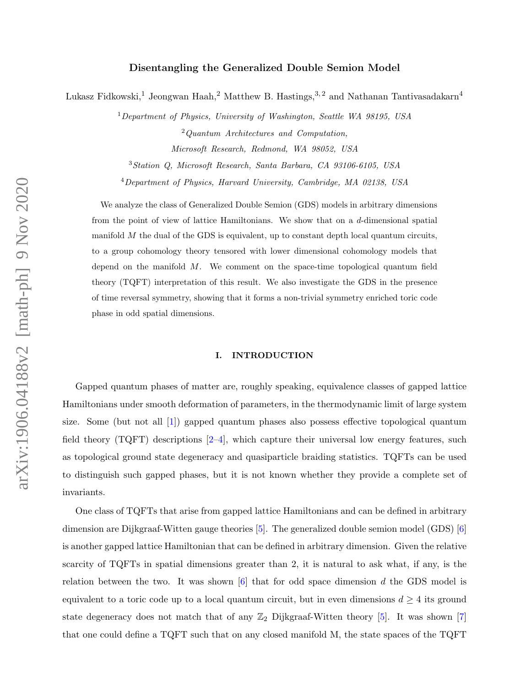### Disentangling the Generalized Double Semion Model

Lukasz Fidkowski,<sup>1</sup> Jeongwan Haah,<sup>2</sup> Matthew B. Hastings,<sup>3,2</sup> and Nathanan Tantivasadakarn<sup>4</sup>

<sup>1</sup>Department of Physics, University of Washington, Seattle WA 98195, USA <sup>2</sup>Quantum Architectures and Computation,

Microsoft Research, Redmond, WA 98052, USA

<sup>3</sup>Station Q, Microsoft Research, Santa Barbara, CA 93106-6105, USA

<sup>4</sup>Department of Physics, Harvard University, Cambridge, MA 02138, USA

We analyze the class of Generalized Double Semion (GDS) models in arbitrary dimensions from the point of view of lattice Hamiltonians. We show that on a d-dimensional spatial manifold  $M$  the dual of the GDS is equivalent, up to constant depth local quantum circuits, to a group cohomology theory tensored with lower dimensional cohomology models that depend on the manifold M. We comment on the space-time topological quantum field theory (TQFT) interpretation of this result. We also investigate the GDS in the presence of time reversal symmetry, showing that it forms a non-trivial symmetry enriched toric code phase in odd spatial dimensions.

### I. INTRODUCTION

Gapped quantum phases of matter are, roughly speaking, equivalence classes of gapped lattice Hamiltonians under smooth deformation of parameters, in the thermodynamic limit of large system size. Some (but not all [\[1\]](#page-25-0)) gapped quantum phases also possess effective topological quantum field theory  $(TQFT)$  descriptions  $[2-4]$  $[2-4]$ , which capture their universal low energy features, such as topological ground state degeneracy and quasiparticle braiding statistics. TQFTs can be used to distinguish such gapped phases, but it is not known whether they provide a complete set of invariants.

One class of TQFTs that arise from gapped lattice Hamiltonians and can be defined in arbitrary dimension are Dijkgraaf-Witten gauge theories [\[5\]](#page-26-0). The generalized double semion model (GDS) [\[6\]](#page-26-1) is another gapped lattice Hamiltonian that can be defined in arbitrary dimension. Given the relative scarcity of TQFTs in spatial dimensions greater than 2, it is natural to ask what, if any, is the relation between the two. It was shown  $\lceil 6 \rceil$  that for odd space dimension d the GDS model is equivalent to a toric code up to a local quantum circuit, but in even dimensions  $d \geq 4$  its ground state degeneracy does not match that of any  $\mathbb{Z}_2$  Dijkgraaf-Witten theory [\[5\]](#page-26-0). It was shown [\[7\]](#page-26-2) that one could define a TQFT such that on any closed manifold M, the state spaces of the TQFT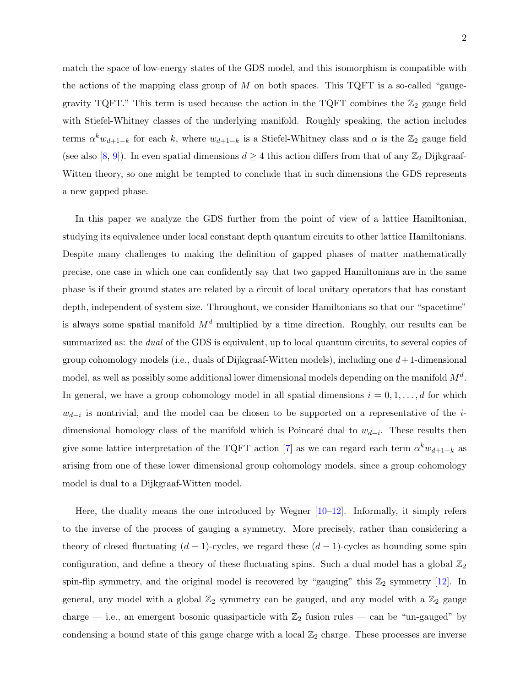match the space of low-energy states of the GDS model, and this isomorphism is compatible with the actions of the mapping class group of  $M$  on both spaces. This TQFT is a so-called "gaugegravity TQFT." This term is used because the action in the TQFT combines the  $\mathbb{Z}_2$  gauge field with Stiefel-Whitney classes of the underlying manifold. Roughly speaking, the action includes terms  $\alpha^k w_{d+1-k}$  for each k, where  $w_{d+1-k}$  is a Stiefel-Whitney class and  $\alpha$  is the  $\mathbb{Z}_2$  gauge field (see also [\[8,](#page-26-3) [9\]](#page-26-4)). In even spatial dimensions  $d \geq 4$  this action differs from that of any  $\mathbb{Z}_2$  Dijkgraaf-Witten theory, so one might be tempted to conclude that in such dimensions the GDS represents a new gapped phase.

In this paper we analyze the GDS further from the point of view of a lattice Hamiltonian, studying its equivalence under local constant depth quantum circuits to other lattice Hamiltonians. Despite many challenges to making the definition of gapped phases of matter mathematically precise, one case in which one can confidently say that two gapped Hamiltonians are in the same phase is if their ground states are related by a circuit of local unitary operators that has constant depth, independent of system size. Throughout, we consider Hamiltonians so that our "spacetime" is always some spatial manifold  $M<sup>d</sup>$  multiplied by a time direction. Roughly, our results can be summarized as: the *dual* of the GDS is equivalent, up to local quantum circuits, to several copies of group cohomology models (i.e., duals of Dijkgraaf-Witten models), including one  $d+1$ -dimensional model, as well as possibly some additional lower dimensional models depending on the manifold  $M^d$ . In general, we have a group cohomology model in all spatial dimensions  $i = 0, 1, \ldots, d$  for which  $w_{d-i}$  is nontrivial, and the model can be chosen to be supported on a representative of the *i*dimensional homology class of the manifold which is Poincaré dual to  $w_{d-i}$ . These results then give some lattice interpretation of the TQFT action [\[7\]](#page-26-2) as we can regard each term  $\alpha^k w_{d+1-k}$  as arising from one of these lower dimensional group cohomology models, since a group cohomology model is dual to a Dijkgraaf-Witten model.

Here, the duality means the one introduced by Wegner [\[10–](#page-26-5)[12\]](#page-26-6). Informally, it simply refers to the inverse of the process of gauging a symmetry. More precisely, rather than considering a theory of closed fluctuating  $(d-1)$ -cycles, we regard these  $(d-1)$ -cycles as bounding some spin configuration, and define a theory of these fluctuating spins. Such a dual model has a global  $\mathbb{Z}_2$ spin-flip symmetry, and the original model is recovered by "gauging" this  $\mathbb{Z}_2$  symmetry [\[12\]](#page-26-6). In general, any model with a global  $\mathbb{Z}_2$  symmetry can be gauged, and any model with a  $\mathbb{Z}_2$  gauge charge — i.e., an emergent bosonic quasiparticle with  $\mathbb{Z}_2$  fusion rules — can be "un-gauged" by condensing a bound state of this gauge charge with a local  $\mathbb{Z}_2$  charge. These processes are inverse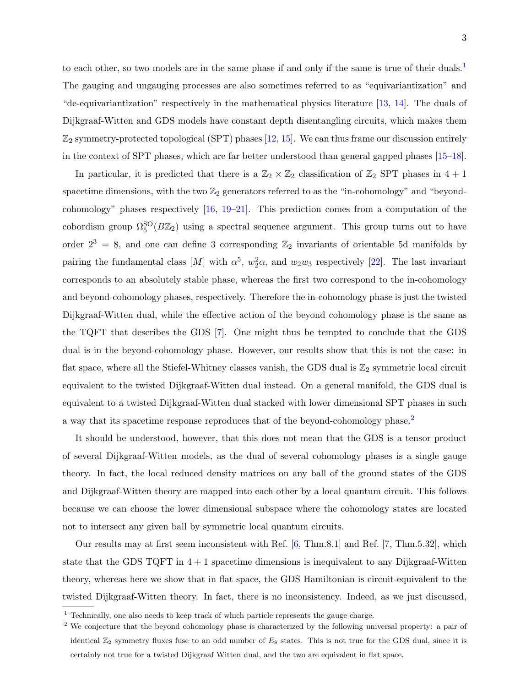to each other, so two models are in the same phase if and only if the same is true of their duals.<sup>[1](#page-2-0)</sup> The gauging and ungauging processes are also sometimes referred to as "equivariantization" and "de-equivariantization" respectively in the mathematical physics literature [\[13,](#page-26-7) [14\]](#page-26-8). The duals of Dijkgraaf-Witten and GDS models have constant depth disentangling circuits, which makes them  $\mathbb{Z}_2$  symmetry-protected topological (SPT) phases [\[12,](#page-26-6) [15\]](#page-26-9). We can thus frame our discussion entirely in the context of SPT phases, which are far better understood than general gapped phases [\[15–](#page-26-9)[18\]](#page-26-10).

In particular, it is predicted that there is a  $\mathbb{Z}_2 \times \mathbb{Z}_2$  classification of  $\mathbb{Z}_2$  SPT phases in  $4 + 1$ spacetime dimensions, with the two  $\mathbb{Z}_2$  generators referred to as the "in-cohomology" and "beyondcohomology" phases respectively [\[16,](#page-26-11) [19–](#page-26-12)[21\]](#page-26-13). This prediction comes from a computation of the cobordism group  $\Omega_5^{SO}(B\mathbb{Z}_2)$  using a spectral sequence argument. This group turns out to have order  $2^3 = 8$ , and one can define 3 corresponding  $\mathbb{Z}_2$  invariants of orientable 5d manifolds by pairing the fundamental class  $[M]$  with  $\alpha^5$ ,  $w_2^2\alpha$ , and  $w_2w_3$  respectively [\[22\]](#page-26-14). The last invariant corresponds to an absolutely stable phase, whereas the first two correspond to the in-cohomology and beyond-cohomology phases, respectively. Therefore the in-cohomology phase is just the twisted Dijkgraaf-Witten dual, while the effective action of the beyond cohomology phase is the same as the TQFT that describes the GDS [\[7\]](#page-26-2). One might thus be tempted to conclude that the GDS dual is in the beyond-cohomology phase. However, our results show that this is not the case: in flat space, where all the Stiefel-Whitney classes vanish, the GDS dual is  $\mathbb{Z}_2$  symmetric local circuit equivalent to the twisted Dijkgraaf-Witten dual instead. On a general manifold, the GDS dual is equivalent to a twisted Dijkgraaf-Witten dual stacked with lower dimensional SPT phases in such a way that its spacetime response reproduces that of the beyond-cohomology phase.<sup>[2](#page-2-1)</sup>

It should be understood, however, that this does not mean that the GDS is a tensor product of several Dijkgraaf-Witten models, as the dual of several cohomology phases is a single gauge theory. In fact, the local reduced density matrices on any ball of the ground states of the GDS and Dijkgraaf-Witten theory are mapped into each other by a local quantum circuit. This follows because we can choose the lower dimensional subspace where the cohomology states are located not to intersect any given ball by symmetric local quantum circuits.

Our results may at first seem inconsistent with Ref. [\[6,](#page-26-1) Thm.8.1] and Ref. [\[7,](#page-26-2) Thm.5.32], which state that the GDS TQFT in  $4+1$  spacetime dimensions is inequivalent to any Dijkgraaf-Witten theory, whereas here we show that in flat space, the GDS Hamiltonian is circuit-equivalent to the twisted Dijkgraaf-Witten theory. In fact, there is no inconsistency. Indeed, as we just discussed,

<span id="page-2-1"></span><span id="page-2-0"></span> $^{\rm 1}$  Technically, one also needs to keep track of which particle represents the gauge charge.

<sup>&</sup>lt;sup>2</sup> We conjecture that the beyond cohomology phase is characterized by the following universal property: a pair of identical  $\mathbb{Z}_2$  symmetry fluxes fuse to an odd number of  $E_8$  states. This is not true for the GDS dual, since it is certainly not true for a twisted Dijkgraaf Witten dual, and the two are equivalent in flat space.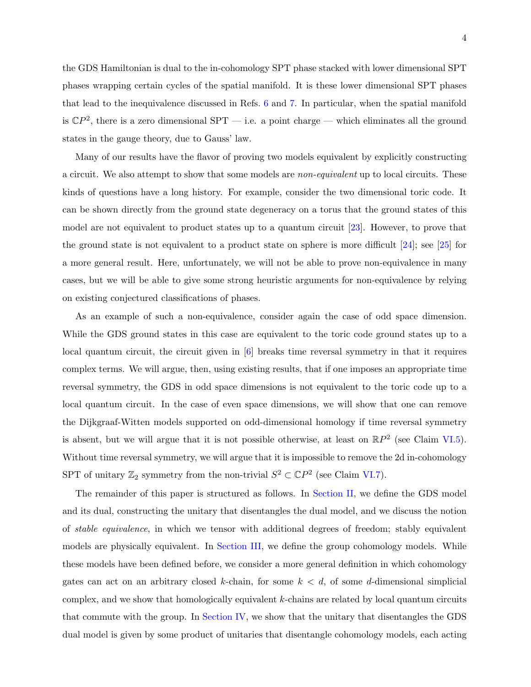the GDS Hamiltonian is dual to the in-cohomology SPT phase stacked with lower dimensional SPT phases wrapping certain cycles of the spatial manifold. It is these lower dimensional SPT phases that lead to the inequivalence discussed in Refs. [6](#page-26-1) and [7.](#page-26-2) In particular, when the spatial manifold is  $\mathbb{C}P^2$ , there is a zero dimensional SPT — i.e. a point charge — which eliminates all the ground states in the gauge theory, due to Gauss' law.

Many of our results have the flavor of proving two models equivalent by explicitly constructing a circuit. We also attempt to show that some models are non-equivalent up to local circuits. These kinds of questions have a long history. For example, consider the two dimensional toric code. It can be shown directly from the ground state degeneracy on a torus that the ground states of this model are not equivalent to product states up to a quantum circuit [\[23\]](#page-26-15). However, to prove that the ground state is not equivalent to a product state on sphere is more difficult [\[24\]](#page-27-0); see [\[25\]](#page-27-1) for a more general result. Here, unfortunately, we will not be able to prove non-equivalence in many cases, but we will be able to give some strong heuristic arguments for non-equivalence by relying on existing conjectured classifications of phases.

As an example of such a non-equivalence, consider again the case of odd space dimension. While the GDS ground states in this case are equivalent to the toric code ground states up to a local quantum circuit, the circuit given in [\[6\]](#page-26-1) breaks time reversal symmetry in that it requires complex terms. We will argue, then, using existing results, that if one imposes an appropriate time reversal symmetry, the GDS in odd space dimensions is not equivalent to the toric code up to a local quantum circuit. In the case of even space dimensions, we will show that one can remove the Dijkgraaf-Witten models supported on odd-dimensional homology if time reversal symmetry is absent, but we will argue that it is not possible otherwise, at least on  $\mathbb{R}P^2$  (see Claim [VI.5\)](#page-22-0). Without time reversal symmetry, we will argue that it is impossible to remove the 2d in-cohomology SPT of unitary  $\mathbb{Z}_2$  symmetry from the non-trivial  $S^2 \subset \mathbb{C}P^2$  (see Claim [VI.7\)](#page-24-0).

The remainder of this paper is structured as follows. In [Section II,](#page-4-0) we define the GDS model and its dual, constructing the unitary that disentangles the dual model, and we discuss the notion of stable equivalence, in which we tensor with additional degrees of freedom; stably equivalent models are physically equivalent. In [Section III,](#page-10-0) we define the group cohomology models. While these models have been defined before, we consider a more general definition in which cohomology gates can act on an arbitrary closed k-chain, for some  $k < d$ , of some d-dimensional simplicial complex, and we show that homologically equivalent k-chains are related by local quantum circuits that commute with the group. In [Section IV,](#page-13-0) we show that the unitary that disentangles the GDS dual model is given by some product of unitaries that disentangle cohomology models, each acting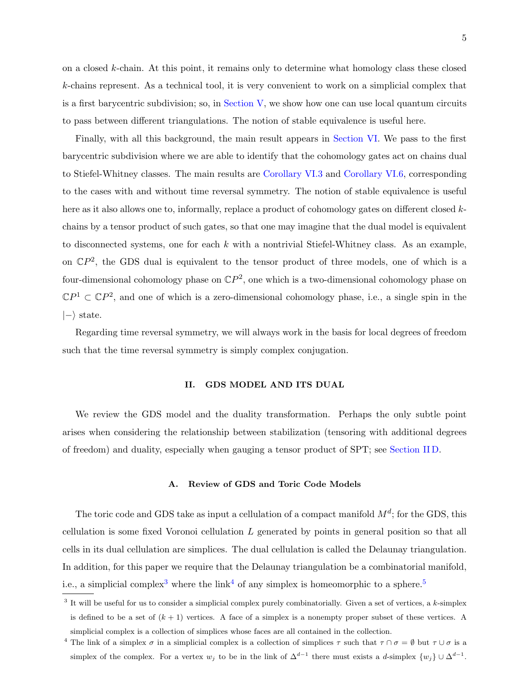on a closed k-chain. At this point, it remains only to determine what homology class these closed k-chains represent. As a technical tool, it is very convenient to work on a simplicial complex that is a first barycentric subdivision; so, in [Section V,](#page-15-0) we show how one can use local quantum circuits to pass between different triangulations. The notion of stable equivalence is useful here.

Finally, with all this background, the main result appears in [Section VI.](#page-19-0) We pass to the first barycentric subdivision where we are able to identify that the cohomology gates act on chains dual to Stiefel-Whitney classes. The main results are [Corollary VI.3](#page-21-0) and [Corollary VI.6,](#page-23-0) corresponding to the cases with and without time reversal symmetry. The notion of stable equivalence is useful here as it also allows one to, informally, replace a product of cohomology gates on different closed kchains by a tensor product of such gates, so that one may imagine that the dual model is equivalent to disconnected systems, one for each  $k$  with a nontrivial Stiefel-Whitney class. As an example, on  $\mathbb{C}P^2$ , the GDS dual is equivalent to the tensor product of three models, one of which is a four-dimensional cohomology phase on  $\mathbb{C}P^2$ , one which is a two-dimensional cohomology phase on  $\mathbb{C}P^1 \subset \mathbb{C}P^2$ , and one of which is a zero-dimensional cohomology phase, i.e., a single spin in the  $|-\rangle$  state.

Regarding time reversal symmetry, we will always work in the basis for local degrees of freedom such that the time reversal symmetry is simply complex conjugation.

#### <span id="page-4-0"></span>II. GDS MODEL AND ITS DUAL

We review the GDS model and the duality transformation. Perhaps the only subtle point arises when considering the relationship between stabilization (tensoring with additional degrees of freedom) and duality, especially when gauging a tensor product of SPT; see [Section II D.](#page-9-0)

### A. Review of GDS and Toric Code Models

The toric code and GDS take as input a cellulation of a compact manifold  $M^d$ ; for the GDS, this cellulation is some fixed Voronoi cellulation L generated by points in general position so that all cells in its dual cellulation are simplices. The dual cellulation is called the Delaunay triangulation. In addition, for this paper we require that the Delaunay triangulation be a combinatorial manifold, i.e., a simplicial complex<sup>[3](#page-4-1)</sup> where the link<sup>[4](#page-4-2)</sup> of any simplex is homeomorphic to a sphere.<sup>[5](#page-5-0)</sup>

<span id="page-4-1"></span> $3$  It will be useful for us to consider a simplicial complex purely combinatorially. Given a set of vertices, a  $k$ -simplex is defined to be a set of  $(k + 1)$  vertices. A face of a simplex is a nonempty proper subset of these vertices. A simplicial complex is a collection of simplices whose faces are all contained in the collection.

<span id="page-4-2"></span><sup>&</sup>lt;sup>4</sup> The link of a simplex  $\sigma$  in a simplicial complex is a collection of simplices  $\tau$  such that  $\tau \cap \sigma = \emptyset$  but  $\tau \cup \sigma$  is a simplex of the complex. For a vertex  $w_j$  to be in the link of  $\Delta^{d-1}$  there must exists a d-simplex  $\{w_j\} \cup \Delta^{d-1}$ .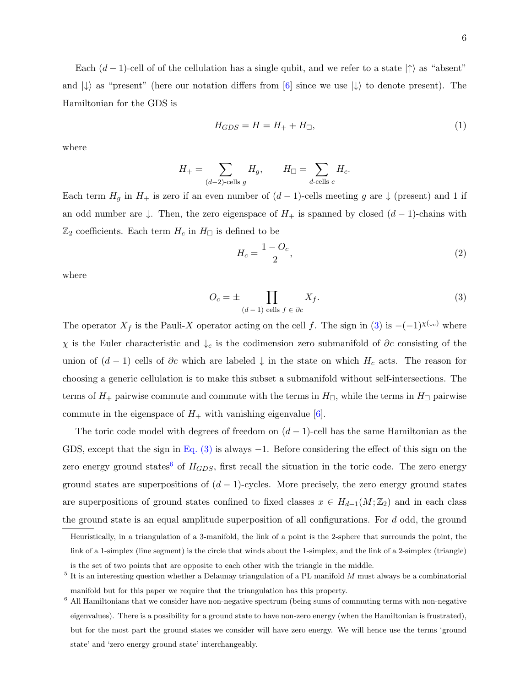6

Each  $(d-1)$ -cell of of the cellulation has a single qubit, and we refer to a state  $|\uparrow\rangle$  as "absent" and  $|\downarrow\rangle$  as "present" (here our notation differs from [\[6\]](#page-26-1) since we use  $|\downarrow\rangle$  to denote present). The Hamiltonian for the GDS is

$$
H_{GDS} = H = H_+ + H_{\square},\tag{1}
$$

where

$$
H_{+} = \sum_{(d-2)\text{-cells }g} H_g, \qquad H_{\square} = \sum_{d\text{-cells }c} H_c.
$$

Each term  $H<sub>g</sub>$  in  $H<sub>+</sub>$  is zero if an even number of  $(d-1)$ -cells meeting g are  $\downarrow$  (present) and 1 if an odd number are  $\downarrow$ . Then, the zero eigenspace of  $H_+$  is spanned by closed  $(d-1)$ -chains with  $\mathbb{Z}_2$  coefficients. Each term  $H_c$  in  $H_{\Box}$  is defined to be

<span id="page-5-1"></span>
$$
H_c = \frac{1 - O_c}{2},\tag{2}
$$

where

$$
O_c = \pm \prod_{(d-1) \text{ cells } f \in \partial c} X_f.
$$
 (3)

The operator  $X_f$  is the Pauli-X operator acting on the cell f. The sign in [\(3\)](#page-5-1) is  $-(-1)^{\chi(\downarrow_c)}$  where  $χ$  is the Euler characteristic and  $↓<sub>c</sub>$  is the codimension zero submanifold of ∂c consisting of the union of  $(d-1)$  cells of  $\partial c$  which are labeled  $\downarrow$  in the state on which  $H_c$  acts. The reason for choosing a generic cellulation is to make this subset a submanifold without self-intersections. The terms of  $H_+$  pairwise commute and commute with the terms in  $H_{\Box}$ , while the terms in  $H_{\Box}$  pairwise commute in the eigenspace of  $H_+$  with vanishing eigenvalue [\[6\]](#page-26-1).

The toric code model with degrees of freedom on  $(d-1)$ -cell has the same Hamiltonian as the GDS, except that the sign in Eq.  $(3)$  is always  $-1$ . Before considering the effect of this sign on the zero energy ground states<sup>[6](#page-5-2)</sup> of  $H_{GDS}$ , first recall the situation in the toric code. The zero energy ground states are superpositions of  $(d-1)$ -cycles. More precisely, the zero energy ground states are superpositions of ground states confined to fixed classes  $x \in H_{d-1}(M;\mathbb{Z}_2)$  and in each class the ground state is an equal amplitude superposition of all configurations. For  $d$  odd, the ground

Heuristically, in a triangulation of a 3-manifold, the link of a point is the 2-sphere that surrounds the point, the link of a 1-simplex (line segment) is the circle that winds about the 1-simplex, and the link of a 2-simplex (triangle) is the set of two points that are opposite to each other with the triangle in the middle.

<span id="page-5-0"></span> $5$  It is an interesting question whether a Delaunay triangulation of a PL manifold M must always be a combinatorial manifold but for this paper we require that the triangulation has this property.

<span id="page-5-2"></span><sup>6</sup> All Hamiltonians that we consider have non-negative spectrum (being sums of commuting terms with non-negative eigenvalues). There is a possibility for a ground state to have non-zero energy (when the Hamiltonian is frustrated), but for the most part the ground states we consider will have zero energy. We will hence use the terms 'ground state' and 'zero energy ground state' interchangeably.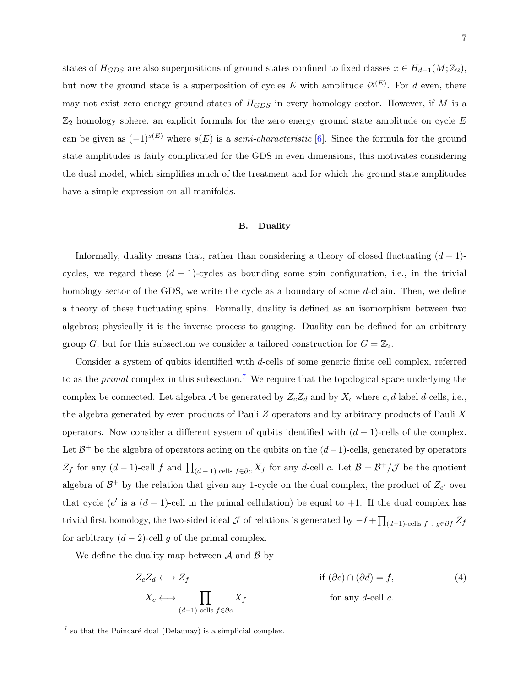states of  $H_{GDS}$  are also superpositions of ground states confined to fixed classes  $x \in H_{d-1}(M; \mathbb{Z}_2)$ , but now the ground state is a superposition of cycles E with amplitude  $i^{\chi(E)}$ . For d even, there may not exist zero energy ground states of  $H_{GDS}$  in every homology sector. However, if M is a  $\mathbb{Z}_2$  homology sphere, an explicit formula for the zero energy ground state amplitude on cycle E can be given as  $(-1)^{s(E)}$  where  $s(E)$  is a *semi-characteristic* [\[6\]](#page-26-1). Since the formula for the ground state amplitudes is fairly complicated for the GDS in even dimensions, this motivates considering the dual model, which simplifies much of the treatment and for which the ground state amplitudes have a simple expression on all manifolds.

#### B. Duality

Informally, duality means that, rather than considering a theory of closed fluctuating  $(d-1)$ cycles, we regard these  $(d-1)$ -cycles as bounding some spin configuration, i.e., in the trivial homology sector of the GDS, we write the cycle as a boundary of some d-chain. Then, we define a theory of these fluctuating spins. Formally, duality is defined as an isomorphism between two algebras; physically it is the inverse process to gauging. Duality can be defined for an arbitrary group G, but for this subsection we consider a tailored construction for  $G = \mathbb{Z}_2$ .

Consider a system of qubits identified with d-cells of some generic finite cell complex, referred to as the *primal* complex in this subsection.<sup>[7](#page-6-0)</sup> We require that the topological space underlying the complex be connected. Let algebra A be generated by  $Z_cZ_d$  and by  $X_c$  where c, d label d-cells, i.e., the algebra generated by even products of Pauli Z operators and by arbitrary products of Pauli X operators. Now consider a different system of qubits identified with  $(d-1)$ -cells of the complex. Let  $\mathcal{B}^+$  be the algebra of operators acting on the qubits on the  $(d-1)$ -cells, generated by operators  $Z_f$  for any  $(d-1)$ -cell f and  $\prod_{(d-1) \text{ cells } f \in \partial c} X_f$  for any d-cell c. Let  $\mathcal{B} = \mathcal{B}^+/\mathcal{J}$  be the quotient algebra of  $\mathcal{B}^+$  by the relation that given any 1-cycle on the dual complex, the product of  $Z_{e'}$  over that cycle (e' is a  $(d-1)$ -cell in the primal cellulation) be equal to +1. If the dual complex has trivial first homology, the two-sided ideal  $\mathcal J$  of relations is generated by  $-I + \prod_{(d-1)\text{-cells }f}$ :  $g \in \partial f$   $Z_f$ for arbitrary  $(d-2)$ -cell g of the primal complex.

We define the duality map between  $\mathcal A$  and  $\mathcal B$  by

<span id="page-6-1"></span>
$$
Z_c Z_d \longleftrightarrow Z_f
$$
if  $(\partial c) \cap (\partial d) = f$ ,  
\n
$$
X_c \longleftrightarrow \prod_{(d-1)\text{-cells } f \in \partial c} X_f
$$
for any *d*-cell *c*. (4)

<span id="page-6-0"></span> $7 \text{ so that the Poincaré dual (Delaunay) is a simplicial complex.}$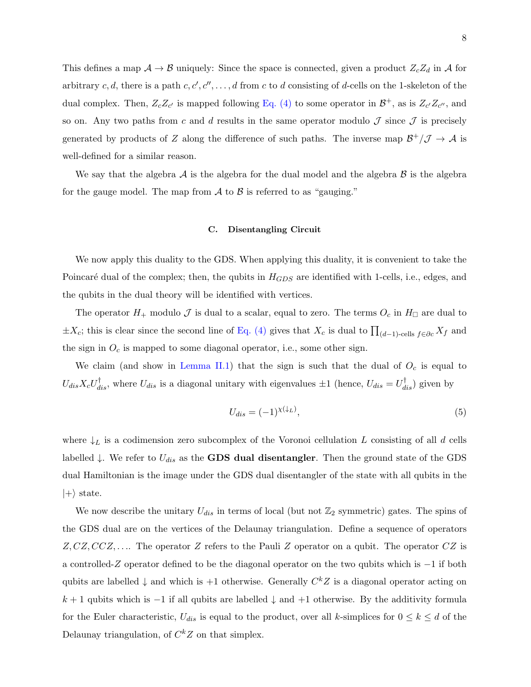This defines a map  $A \to B$  uniquely: Since the space is connected, given a product  $Z_c Z_d$  in A for arbitrary c, d, there is a path  $c, c', c'', \ldots, d$  from c to d consisting of d-cells on the 1-skeleton of the dual complex. Then,  $Z_c Z_{c'}$  is mapped following [Eq. \(4\)](#page-6-1) to some operator in  $\mathcal{B}^+$ , as is  $Z_{c'} Z_{c''}$ , and so on. Any two paths from c and d results in the same operator modulo  $\mathcal J$  since  $\mathcal J$  is precisely generated by products of Z along the difference of such paths. The inverse map  $\mathcal{B}^+/\mathcal{J} \to \mathcal{A}$  is well-defined for a similar reason.

We say that the algebra  $A$  is the algebra for the dual model and the algebra  $B$  is the algebra for the gauge model. The map from  $\mathcal A$  to  $\mathcal B$  is referred to as "gauging."

### C. Disentangling Circuit

We now apply this duality to the GDS. When applying this duality, it is convenient to take the Poincaré dual of the complex; then, the qubits in  $H_{GDS}$  are identified with 1-cells, i.e., edges, and the qubits in the dual theory will be identified with vertices.

The operator  $H_+$  modulo  $\mathcal J$  is dual to a scalar, equal to zero. The terms  $O_c$  in  $H_{\Box}$  are dual to  $\pm X_c$ ; this is clear since the second line of [Eq. \(4\)](#page-6-1) gives that  $X_c$  is dual to  $\prod_{(d-1)\text{-cells}} f \in \partial_c X_f$  and the sign in  $O<sub>c</sub>$  is mapped to some diagonal operator, i.e., some other sign.

We claim (and show in [Lemma II.1\)](#page-8-0) that the sign is such that the dual of  $O<sub>c</sub>$  is equal to  $U_{dis}X_cU_{dis}^{\dagger}$ , where  $U_{dis}$  is a diagonal unitary with eigenvalues  $\pm 1$  (hence,  $U_{dis} = U_{dis}^{\dagger}$ ) given by

$$
U_{dis} = (-1)^{\chi(\downarrow_L)},\tag{5}
$$

where  $\downarrow$  is a codimension zero subcomplex of the Voronoi cellulation L consisting of all d cells labelled  $\downarrow$ . We refer to  $U_{dis}$  as the GDS dual disentangler. Then the ground state of the GDS dual Hamiltonian is the image under the GDS dual disentangler of the state with all qubits in the  $|+\rangle$  state.

We now describe the unitary  $U_{dis}$  in terms of local (but not  $\mathbb{Z}_2$  symmetric) gates. The spins of the GDS dual are on the vertices of the Delaunay triangulation. Define a sequence of operators  $Z, CZ, CCZ, \ldots$  The operator Z refers to the Pauli Z operator on a qubit. The operator  $CZ$  is a controlled-Z operator defined to be the diagonal operator on the two qubits which is −1 if both qubits are labelled  $\downarrow$  and which is +1 otherwise. Generally  $C^{k}Z$  is a diagonal operator acting on  $k + 1$  qubits which is  $-1$  if all qubits are labelled  $\downarrow$  and  $+1$  otherwise. By the additivity formula for the Euler characteristic,  $U_{dis}$  is equal to the product, over all k-simplices for  $0 \leq k \leq d$  of the Delaunay triangulation, of  $C^{k}Z$  on that simplex.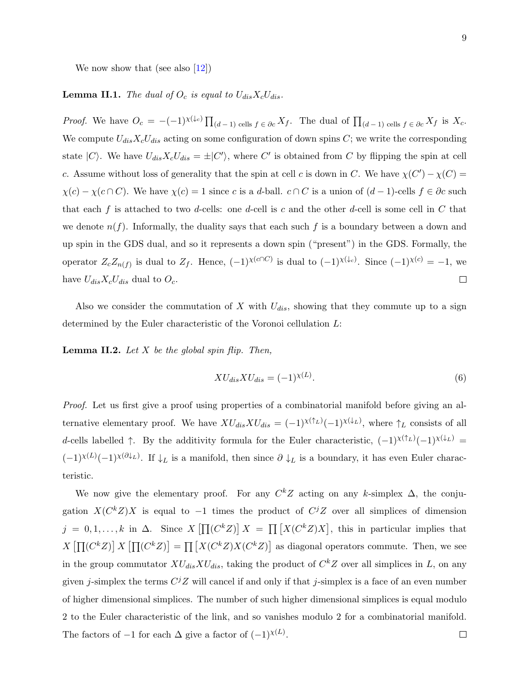<span id="page-8-0"></span>We now show that (see also  $[12]$ )

# **Lemma II.1.** The dual of  $O_c$  is equal to  $U_{dis}X_cU_{dis}$ .

*Proof.* We have  $O_c = -(-1)^{\chi(\downarrow_c)} \prod_{(d-1) \text{ cells } f \in \partial c} X_f$ . The dual of  $\prod_{(d-1) \text{ cells } f \in \partial c} X_f$  is  $X_c$ . We compute  $U_{dis}X_cU_{dis}$  acting on some configuration of down spins C; we write the corresponding state  $|C\rangle$ . We have  $U_{dis}X_cU_{dis} = \pm |C'\rangle$ , where C' is obtained from C by flipping the spin at cell c. Assume without loss of generality that the spin at cell c is down in C. We have  $\chi(C') - \chi(C) =$  $\chi(c) - \chi(c \cap C)$ . We have  $\chi(c) = 1$  since c is a d-ball.  $c \cap C$  is a union of  $(d-1)$ -cells  $f \in \partial c$  such that each f is attached to two d-cells: one d-cell is c and the other d-cell is some cell in  $C$  that we denote  $n(f)$ . Informally, the duality says that each such f is a boundary between a down and up spin in the GDS dual, and so it represents a down spin ("present") in the GDS. Formally, the operator  $Z_c Z_{n(f)}$  is dual to  $Z_f$ . Hence,  $(-1)^{\chi(c \cap C)}$  is dual to  $(-1)^{\chi(\downarrow_c)}$ . Since  $(-1)^{\chi(c)} = -1$ , we have  $U_{dis}X_cU_{dis}$  dual to  $O_c$ .  $\Box$ 

Also we consider the commutation of  $X$  with  $U_{dis}$ , showing that they commute up to a sign determined by the Euler characteristic of the Voronoi cellulation L:

<span id="page-8-1"></span>**Lemma II.2.** Let  $X$  be the global spin flip. Then,

$$
XU_{dis}XU_{dis} = (-1)^{\chi(L)}.
$$
\n<sup>(6)</sup>

Proof. Let us first give a proof using properties of a combinatorial manifold before giving an alternative elementary proof. We have  $XU_{dis}XU_{dis} = (-1)^{\chi(\uparrow_L)}(-1)^{\chi(\downarrow_L)}$ , where  $\uparrow_L$  consists of all d-cells labelled  $\uparrow$ . By the additivity formula for the Euler characteristic,  $(-1)^{\chi(\uparrow_L)}(-1)^{\chi(\downarrow_L)}$  $(-1)^{\chi(L)}(-1)^{\chi(\partial\downarrow_L)}$ . If  $\downarrow_L$  is a manifold, then since  $\partial \downarrow_L$  is a boundary, it has even Euler characteristic.

We now give the elementary proof. For any  $C^{k}Z$  acting on any k-simplex  $\Delta$ , the conjugation  $X(C^kZ)X$  is equal to -1 times the product of  $C^jZ$  over all simplices of dimension  $j = 0, 1, \ldots, k$  in  $\Delta$ . Since  $X \left[ \prod (C^k Z) \right] X = \prod [X (C^k Z) X]$ , this in particular implies that  $X\left[\prod(C^kZ)\right]X\left[\prod(C^kZ)\right]=\prod\left[X(C^kZ)X(C^kZ)\right]$  as diagonal operators commute. Then, we see in the group commutator  $XU_{dis}XU_{dis}$ , taking the product of  $C^kZ$  over all simplices in L, on any given j-simplex the terms  $C^{j}Z$  will cancel if and only if that j-simplex is a face of an even number of higher dimensional simplices. The number of such higher dimensional simplices is equal modulo 2 to the Euler characteristic of the link, and so vanishes modulo 2 for a combinatorial manifold. The factors of  $-1$  for each  $\Delta$  give a factor of  $(-1)^{\chi(L)}$ .  $\Box$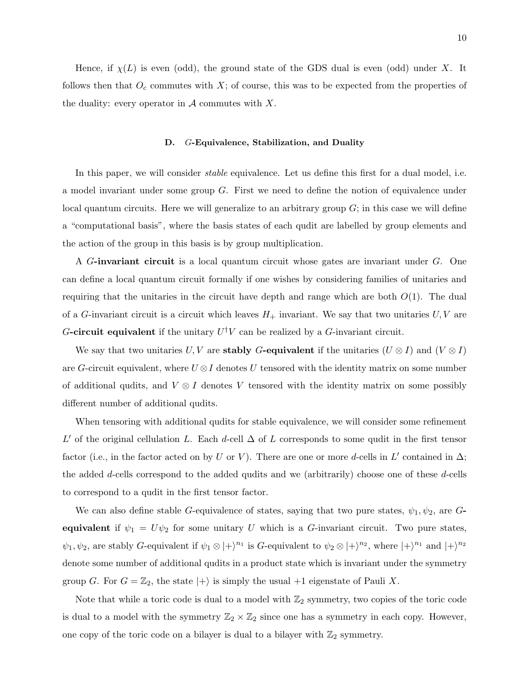Hence, if  $\chi(L)$  is even (odd), the ground state of the GDS dual is even (odd) under X. It follows then that  $O_c$  commutes with  $X$ ; of course, this was to be expected from the properties of the duality: every operator in  $A$  commutes with X.

#### <span id="page-9-0"></span>D. G-Equivalence, Stabilization, and Duality

In this paper, we will consider *stable* equivalence. Let us define this first for a dual model, i.e. a model invariant under some group G. First we need to define the notion of equivalence under local quantum circuits. Here we will generalize to an arbitrary group  $G$ ; in this case we will define a "computational basis", where the basis states of each qudit are labelled by group elements and the action of the group in this basis is by group multiplication.

A G-invariant circuit is a local quantum circuit whose gates are invariant under G. One can define a local quantum circuit formally if one wishes by considering families of unitaries and requiring that the unitaries in the circuit have depth and range which are both  $O(1)$ . The dual of a G-invariant circuit is a circuit which leaves  $H_+$  invariant. We say that two unitaries  $U, V$  are G-circuit equivalent if the unitary  $U^{\dagger}V$  can be realized by a G-invariant circuit.

We say that two unitaries U, V are **stably G-equivalent** if the unitaries  $(U \otimes I)$  and  $(V \otimes I)$ are G-circuit equivalent, where  $U \otimes I$  denotes U tensored with the identity matrix on some number of additional qudits, and  $V \otimes I$  denotes V tensored with the identity matrix on some possibly different number of additional qudits.

When tensoring with additional qudits for stable equivalence, we will consider some refinement L' of the original cellulation L. Each d-cell  $\Delta$  of L corresponds to some qudit in the first tensor factor (i.e., in the factor acted on by U or V). There are one or more d-cells in L' contained in  $\Delta$ ; the added d-cells correspond to the added qudits and we (arbitrarily) choose one of these d-cells to correspond to a qudit in the first tensor factor.

We can also define stable G-equivalence of states, saying that two pure states,  $\psi_1, \psi_2$ , are Gequivalent if  $\psi_1 = U\psi_2$  for some unitary U which is a G-invariant circuit. Two pure states,  $\psi_1, \psi_2$ , are stably G-equivalent if  $\psi_1 \otimes |+\rangle^{n_1}$  is G-equivalent to  $\psi_2 \otimes |+\rangle^{n_2}$ , where  $|+\rangle^{n_1}$  and  $|+\rangle^{n_2}$ denote some number of additional qudits in a product state which is invariant under the symmetry group G. For  $G = \mathbb{Z}_2$ , the state  $|+\rangle$  is simply the usual  $+1$  eigenstate of Pauli X.

Note that while a toric code is dual to a model with  $\mathbb{Z}_2$  symmetry, two copies of the toric code is dual to a model with the symmetry  $\mathbb{Z}_2 \times \mathbb{Z}_2$  since one has a symmetry in each copy. However, one copy of the toric code on a bilayer is dual to a bilayer with  $\mathbb{Z}_2$  symmetry.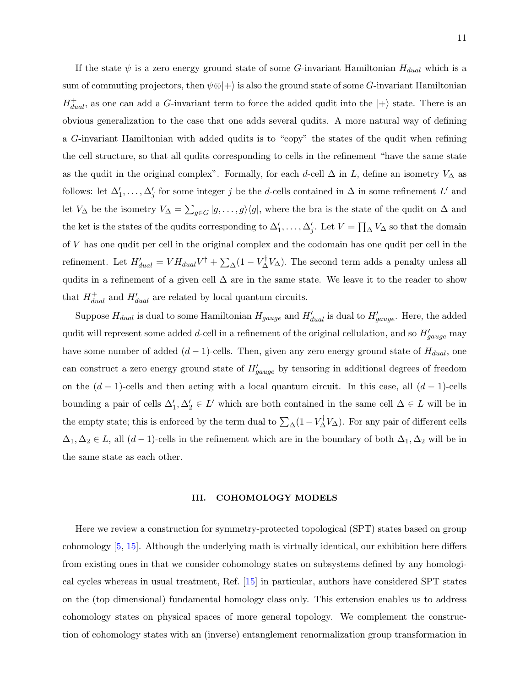If the state  $\psi$  is a zero energy ground state of some G-invariant Hamiltonian  $H_{dual}$  which is a sum of commuting projectors, then  $\psi \otimes |+\rangle$  is also the ground state of some G-invariant Hamiltonian  $H_{dual}^{+}$ , as one can add a G-invariant term to force the added qudit into the  $|+\rangle$  state. There is an obvious generalization to the case that one adds several qudits. A more natural way of defining a G-invariant Hamiltonian with added qudits is to "copy" the states of the qudit when refining the cell structure, so that all qudits corresponding to cells in the refinement "have the same state as the qudit in the original complex". Formally, for each d-cell  $\Delta$  in L, define an isometry  $V_{\Delta}$  as follows: let  $\Delta'_1, \ldots, \Delta'_j$  for some integer j be the d-cells contained in  $\Delta$  in some refinement L' and let  $V_{\Delta}$  be the isometry  $V_{\Delta} = \sum_{g \in G} |g, \ldots, g\rangle\langle g|$ , where the bra is the state of the qudit on  $\Delta$  and the ket is the states of the qudits corresponding to  $\Delta'_1, \ldots, \Delta'_j$ . Let  $V = \prod_{\Delta} V_{\Delta}$  so that the domain of V has one qudit per cell in the original complex and the codomain has one qudit per cell in the refinement. Let  $H'_{dual} = VH_{dual}V^{\dagger} + \sum_{\Delta}(1 - V_{\Delta}^{\dagger}V_{\Delta})$ . The second term adds a penalty unless all qudits in a refinement of a given cell  $\Delta$  are in the same state. We leave it to the reader to show that  $H_{dual}^+$  and  $H_{dual}'$  are related by local quantum circuits.

Suppose  $H_{dual}$  is dual to some Hamiltonian  $H_{gauge}$  and  $H'_{dual}$  is dual to  $H'_{gauge}$ . Here, the added qudit will represent some added d-cell in a refinement of the original cellulation, and so  $H'_{gauge}$  may have some number of added  $(d-1)$ -cells. Then, given any zero energy ground state of  $H_{dual}$ , one can construct a zero energy ground state of  $H'_{gauge}$  by tensoring in additional degrees of freedom on the  $(d-1)$ -cells and then acting with a local quantum circuit. In this case, all  $(d-1)$ -cells bounding a pair of cells  $\Delta'_1, \Delta'_2 \in L'$  which are both contained in the same cell  $\Delta \in L$  will be in the empty state; this is enforced by the term dual to  $\sum_{\Delta} (1 - V_{\Delta}^{\dagger} V_{\Delta})$ . For any pair of different cells  $\Delta_1, \Delta_2 \in L$ , all  $(d-1)$ -cells in the refinement which are in the boundary of both  $\Delta_1, \Delta_2$  will be in the same state as each other.

### <span id="page-10-0"></span>III. COHOMOLOGY MODELS

Here we review a construction for symmetry-protected topological (SPT) states based on group cohomology [\[5,](#page-26-0) [15\]](#page-26-9). Although the underlying math is virtually identical, our exhibition here differs from existing ones in that we consider cohomology states on subsystems defined by any homological cycles whereas in usual treatment, Ref. [\[15\]](#page-26-9) in particular, authors have considered SPT states on the (top dimensional) fundamental homology class only. This extension enables us to address cohomology states on physical spaces of more general topology. We complement the construction of cohomology states with an (inverse) entanglement renormalization group transformation in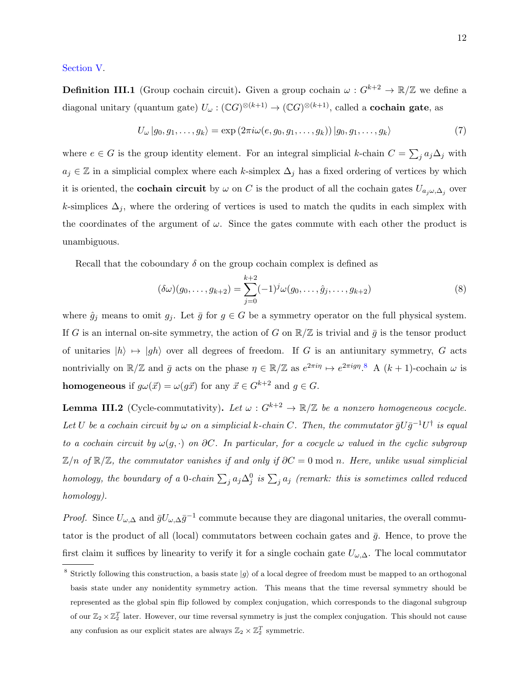### <span id="page-11-2"></span>[Section V.](#page-15-0)

**Definition III.1** (Group cochain circuit). Given a group cochain  $\omega : G^{k+2} \to \mathbb{R}/\mathbb{Z}$  we define a diagonal unitary (quantum gate)  $U_\omega : (\mathbb{C}G)^{\otimes (k+1)} \to (\mathbb{C}G)^{\otimes (k+1)},$  called a **cochain gate**, as

$$
U_{\omega} | g_0, g_1, \dots, g_k \rangle = \exp \left( 2\pi i \omega(e, g_0, g_1, \dots, g_k) \right) | g_0, g_1, \dots, g_k \rangle \tag{7}
$$

where  $e \in G$  is the group identity element. For an integral simplicial k-chain  $C = \sum_j a_j \Delta_j$  with  $a_j \in \mathbb{Z}$  in a simplicial complex where each k-simplex  $\Delta_j$  has a fixed ordering of vertices by which it is oriented, the **cochain circuit** by  $\omega$  on C is the product of all the cochain gates  $U_{a_j\omega,\Delta_j}$  over k-simplices  $\Delta_i$ , where the ordering of vertices is used to match the qudits in each simplex with the coordinates of the argument of  $\omega$ . Since the gates commute with each other the product is unambiguous.

Recall that the coboundary  $\delta$  on the group cochain complex is defined as

$$
(\delta \omega)(g_0, \dots, g_{k+2}) = \sum_{j=0}^{k+2} (-1)^j \omega(g_0, \dots, \hat{g}_j, \dots, g_{k+2})
$$
\n(8)

where  $\hat{g}_j$  means to omit  $g_j$ . Let  $\bar{g}$  for  $g \in G$  be a symmetry operator on the full physical system. If G is an internal on-site symmetry, the action of G on  $\mathbb{R}/\mathbb{Z}$  is trivial and  $\bar{g}$  is the tensor product of unitaries  $|h\rangle \mapsto |gh\rangle$  over all degrees of freedom. If G is an antiunitary symmetry, G acts nontrivially on  $\mathbb{R}/\mathbb{Z}$  and  $\bar{g}$  acts on the phase  $\eta \in \mathbb{R}/\mathbb{Z}$  as  $e^{2\pi i\eta} \mapsto e^{2\pi i g\eta}$ .<sup>[8](#page-11-0)</sup> A  $(k+1)$ -cochain  $\omega$  is **homogeneous** if  $g\omega(\vec{x}) = \omega(g\vec{x})$  for any  $\vec{x} \in G^{k+2}$  and  $g \in G$ .

<span id="page-11-1"></span>**Lemma III.2** (Cycle-commutativity). Let  $\omega$  :  $G^{k+2} \to \mathbb{R}/\mathbb{Z}$  be a nonzero homogeneous cocycle. Let U be a cochain circuit by  $\omega$  on a simplicial k-chain C. Then, the commutator  $\bar{g}U\bar{g}^{-1}U^{\dagger}$  is equal to a cochain circuit by  $\omega(g, \cdot)$  on  $\partial C$ . In particular, for a cocycle  $\omega$  valued in the cyclic subgroup  $\mathbb{Z}/n$  of  $\mathbb{R}/\mathbb{Z}$ , the commutator vanishes if and only if  $\partial C = 0 \text{ mod } n$ . Here, unlike usual simplicial homology, the boundary of a 0-chain  $\sum_j a_j \Delta_j^0$  is  $\sum_j a_j$  (remark: this is sometimes called reduced homology).

*Proof.* Since  $U_{\omega,\Delta}$  and  $\bar{g}U_{\omega,\Delta}\bar{g}^{-1}$  commute because they are diagonal unitaries, the overall commutator is the product of all (local) commutators between cochain gates and  $\bar{q}$ . Hence, to prove the first claim it suffices by linearity to verify it for a single cochain gate  $U_{\omega,\Delta}$ . The local commutator

<span id="page-11-0"></span><sup>&</sup>lt;sup>8</sup> Strictly following this construction, a basis state  $|g\rangle$  of a local degree of freedom must be mapped to an orthogonal basis state under any nonidentity symmetry action. This means that the time reversal symmetry should be represented as the global spin flip followed by complex conjugation, which corresponds to the diagonal subgroup of our  $\mathbb{Z}_2\times\mathbb{Z}_2^T$  later. However, our time reversal symmetry is just the complex conjugation. This should not cause any confusion as our explicit states are always  $\mathbb{Z}_2 \times \mathbb{Z}_2^T$  symmetric.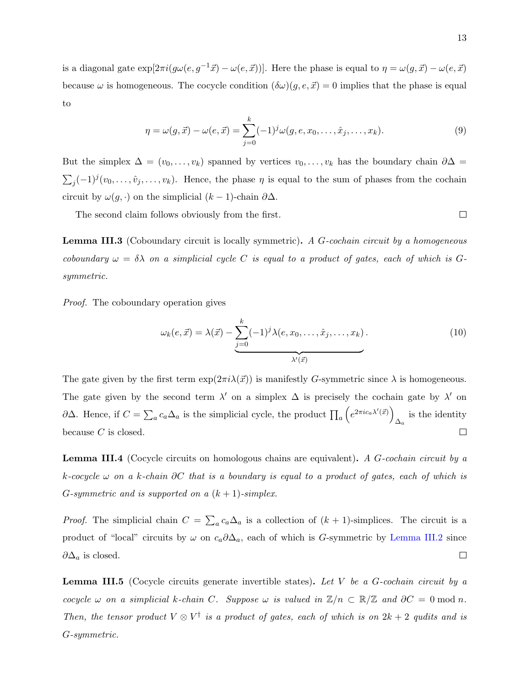is a diagonal gate  $\exp[2\pi i(g\omega(e, g^{-1}\vec{x}) - \omega(e, \vec{x}))]$ . Here the phase is equal to  $\eta = \omega(g, \vec{x}) - \omega(e, \vec{x})$ because  $\omega$  is homogeneous. The cocycle condition  $(\delta \omega)(g, e, \vec{x}) = 0$  implies that the phase is equal to

$$
\eta = \omega(g, \vec{x}) - \omega(e, \vec{x}) = \sum_{j=0}^{k} (-1)^{j} \omega(g, e, x_0, \dots, \hat{x}_j, \dots, x_k).
$$
\n(9)

But the simplex  $\Delta = (v_0, \ldots, v_k)$  spanned by vertices  $v_0, \ldots, v_k$  has the boundary chain  $\partial \Delta =$  $\sum_j (-1)^j (v_0, \ldots, \hat{v}_j, \ldots, v_k)$ . Hence, the phase  $\eta$  is equal to the sum of phases from the cochain circuit by  $\omega(g, \cdot)$  on the simplicial  $(k-1)$ -chain  $\partial \Delta$ .

The second claim follows obviously from the first.

<span id="page-12-2"></span>**Lemma III.3** (Coboundary circuit is locally symmetric). A G-cochain circuit by a homogeneous coboundary  $\omega = \delta \lambda$  on a simplicial cycle C is equal to a product of gates, each of which is Gsymmetric.

Proof. The coboundary operation gives

$$
\omega_k(e, \vec{x}) = \lambda(\vec{x}) - \underbrace{\sum_{j=0}^k (-1)^j \lambda(e, x_0, \dots, \hat{x}_j, \dots, x_k)}_{\lambda'(\vec{x})}.
$$
\n(10)

The gate given by the first term  $\exp(2\pi i \lambda(\vec{x}))$  is manifestly G-symmetric since  $\lambda$  is homogeneous. The gate given by the second term  $\lambda'$  on a simplex  $\Delta$  is precisely the cochain gate by  $\lambda'$  on  $\partial \Delta$ . Hence, if  $C = \sum_a c_a \Delta_a$  is the simplicial cycle, the product  $\prod_a \left( e^{2\pi i c_a \lambda'(\vec{x})} \right)$  $\Delta_a$  is the identity because  $C$  is closed.  $\Box$ 

<span id="page-12-0"></span>**Lemma III.4** (Cocycle circuits on homologous chains are equivalent). A  $G$ -cochain circuit by a k-cocycle  $\omega$  on a k-chain ∂C that is a boundary is equal to a product of gates, each of which is *G*-symmetric and is supported on a  $(k + 1)$ -simplex.

*Proof.* The simplicial chain  $C = \sum_a c_a \Delta_a$  is a collection of  $(k + 1)$ -simplices. The circuit is a product of "local" circuits by  $\omega$  on  $c_a\partial\Delta_a$ , each of which is G-symmetric by [Lemma III.2](#page-11-1) since  $\partial \Delta_a$  is closed.  $\Box$ 

<span id="page-12-1"></span>**Lemma III.5** (Cocycle circuits generate invertible states). Let V be a  $G$ -cochain circuit by a cocycle  $\omega$  on a simplicial k-chain C. Suppose  $\omega$  is valued in  $\mathbb{Z}/n \subset \mathbb{R}/\mathbb{Z}$  and  $\partial C = 0 \bmod n$ . Then, the tensor product  $V \otimes V^{\dagger}$  is a product of gates, each of which is on  $2k + 2$  qudits and is G-symmetric.

 $\Box$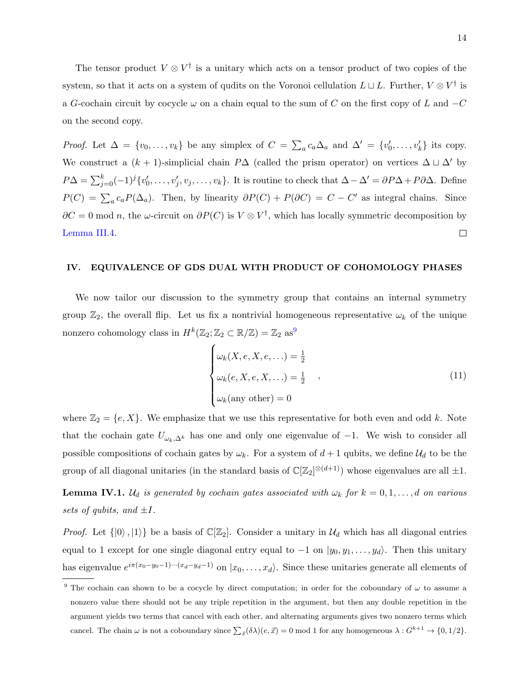The tensor product  $V \otimes V^{\dagger}$  is a unitary which acts on a tensor product of two copies of the system, so that it acts on a system of qudits on the Voronoi cellulation  $L\sqcup L$ . Further,  $V\otimes V^{\dagger}$  is a G-cochain circuit by cocycle  $\omega$  on a chain equal to the sum of C on the first copy of L and  $-C$ on the second copy.

*Proof.* Let  $\Delta = \{v_0, \ldots, v_k\}$  be any simplex of  $C = \sum_a c_a \Delta_a$  and  $\Delta' = \{v'_0, \ldots, v'_k\}$  its copy. We construct a  $(k + 1)$ -simplicial chain P $\Delta$  (called the prism operator) on vertices  $\Delta \sqcup \Delta'$  by  $P\Delta = \sum_{j=0}^{k} (-1)^{j} \{v'_0, \ldots, v'_j, v_j, \ldots, v_k\}.$  It is routine to check that  $\Delta - \Delta' = \partial P\Delta + P\partial\Delta$ . Define  $P(C) = \sum_a c_a P(\Delta_a)$ . Then, by linearity  $\partial P(C) + P(\partial C) = C - C'$  as integral chains. Since  $\partial C = 0$  mod n, the  $\omega$ -circuit on  $\partial P(C)$  is  $V \otimes V^{\dagger}$ , which has locally symmetric decomposition by [Lemma III.4.](#page-12-0)  $\Box$ 

### <span id="page-13-0"></span>IV. EQUIVALENCE OF GDS DUAL WITH PRODUCT OF COHOMOLOGY PHASES

We now tailor our discussion to the symmetry group that contains an internal symmetry group  $\mathbb{Z}_2$ , the overall flip. Let us fix a nontrivial homogeneous representative  $\omega_k$  of the unique nonzero cohomology class in  $H^k(\mathbb{Z}_2; \mathbb{Z}_2 \subset \mathbb{R}/\mathbb{Z}) = \mathbb{Z}_2$  as<sup>[9](#page-13-1)</sup>

<span id="page-13-3"></span>
$$
\begin{cases}\n\omega_k(X, e, X, e, \ldots) = \frac{1}{2} \\
\omega_k(e, X, e, X, \ldots) = \frac{1}{2} \\
\omega_k(\text{any other}) = 0\n\end{cases}
$$
\n(11)

where  $\mathbb{Z}_2 = \{e, X\}$ . We emphasize that we use this representative for both even and odd k. Note that the cochain gate  $U_{\omega_k,\Delta^k}$  has one and only one eigenvalue of  $-1$ . We wish to consider all possible compositions of cochain gates by  $\omega_k$ . For a system of  $d+1$  qubits, we define  $\mathcal{U}_d$  to be the group of all diagonal unitaries (in the standard basis of  $\mathbb{C}[\mathbb{Z}_2]^{\otimes (d+1)}$ ) whose eigenvalues are all  $\pm 1$ .

<span id="page-13-2"></span>**Lemma IV.1.**  $\mathcal{U}_d$  is generated by cochain gates associated with  $\omega_k$  for  $k = 0, 1, \ldots, d$  on various sets of qubits, and  $\pm I$ .

*Proof.* Let  $\{|0\rangle, |1\rangle\}$  be a basis of  $\mathbb{C}[\mathbb{Z}_2]$ . Consider a unitary in  $\mathcal{U}_d$  which has all diagonal entries equal to 1 except for one single diagonal entry equal to  $-1$  on  $|y_0, y_1, \ldots, y_d\rangle$ . Then this unitary has eigenvalue  $e^{i\pi(x_0-y_0-1)\cdots(x_d-y_d-1)}$  on  $|x_0,\ldots,x_d\rangle$ . Since these unitaries generate all elements of

<span id="page-13-1"></span><sup>&</sup>lt;sup>9</sup> The cochain can shown to be a cocycle by direct computation; in order for the coboundary of  $\omega$  to assume a nonzero value there should not be any triple repetition in the argument, but then any double repetition in the argument yields two terms that cancel with each other, and alternating arguments gives two nonzero terms which cancel. The chain  $\omega$  is not a coboundary since  $\sum_{\vec{x}} (\delta \lambda)(e, \vec{x}) = 0$  mod 1 for any homogeneous  $\lambda : G^{k+1} \to \{0, 1/2\}$ .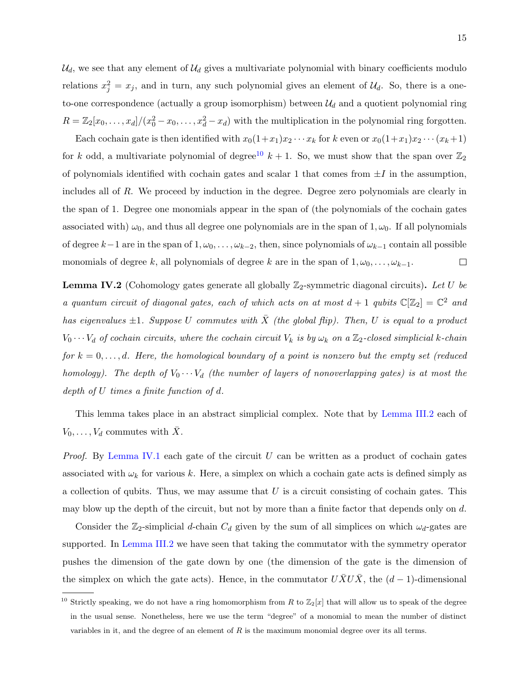$\mathcal{U}_d$ , we see that any element of  $\mathcal{U}_d$  gives a multivariate polynomial with binary coefficients modulo relations  $x_j^2 = x_j$ , and in turn, any such polynomial gives an element of  $\mathcal{U}_d$ . So, there is a oneto-one correspondence (actually a group isomorphism) between  $\mathcal{U}_d$  and a quotient polynomial ring  $R = \mathbb{Z}_2[x_0, \ldots, x_d]/(x_0^2 - x_0, \ldots, x_d^2 - x_d)$  with the multiplication in the polynomial ring forgotten.

Each cochain gate is then identified with  $x_0(1+x_1)x_2 \cdots x_k$  for k even or  $x_0(1+x_1)x_2 \cdots (x_k+1)$ for k odd, a multivariate polynomial of degree<sup>[10](#page-14-0)</sup> k + 1. So, we must show that the span over  $\mathbb{Z}_2$ of polynomials identified with cochain gates and scalar 1 that comes from  $\pm I$  in the assumption, includes all of  $R$ . We proceed by induction in the degree. Degree zero polynomials are clearly in the span of 1. Degree one monomials appear in the span of (the polynomials of the cochain gates associated with)  $\omega_0$ , and thus all degree one polynomials are in the span of 1,  $\omega_0$ . If all polynomials of degree  $k-1$  are in the span of  $1, \omega_0, \ldots, \omega_{k-2}$ , then, since polynomials of  $\omega_{k-1}$  contain all possible monomials of degree k, all polynomials of degree k are in the span of  $1, \omega_0, \ldots, \omega_{k-1}$ .  $\Box$ 

<span id="page-14-1"></span>**Lemma IV.2** (Cohomology gates generate all globally  $\mathbb{Z}_2$ -symmetric diagonal circuits). Let U be a quantum circuit of diagonal gates, each of which acts on at most  $d+1$  qubits  $\mathbb{C}[\mathbb{Z}_2] = \mathbb{C}^2$  and has eigenvalues  $\pm 1$ . Suppose U commutes with  $\overline{X}$  (the global flip). Then, U is equal to a product  $V_0 \cdots V_d$  of cochain circuits, where the cochain circuit  $V_k$  is by  $\omega_k$  on a  $\mathbb{Z}_2$ -closed simplicial k-chain for  $k = 0, \ldots, d$ . Here, the homological boundary of a point is nonzero but the empty set (reduced homology). The depth of  $V_0 \cdots V_d$  (the number of layers of nonoverlapping gates) is at most the depth of U times a finite function of d.

This lemma takes place in an abstract simplicial complex. Note that by [Lemma III.2](#page-11-1) each of  $V_0, \ldots, V_d$  commutes with X.

*Proof.* By [Lemma IV.1](#page-13-2) each gate of the circuit U can be written as a product of cochain gates associated with  $\omega_k$  for various k. Here, a simplex on which a cochain gate acts is defined simply as a collection of qubits. Thus, we may assume that  $U$  is a circuit consisting of cochain gates. This may blow up the depth of the circuit, but not by more than a finite factor that depends only on d.

Consider the  $\mathbb{Z}_2$ -simplicial d-chain  $C_d$  given by the sum of all simplices on which  $\omega_d$ -gates are supported. In [Lemma III.2](#page-11-1) we have seen that taking the commutator with the symmetry operator pushes the dimension of the gate down by one (the dimension of the gate is the dimension of the simplex on which the gate acts). Hence, in the commutator  $\overline{UXU\overline{X}}$ , the  $(d-1)$ -dimensional

<span id="page-14-0"></span><sup>&</sup>lt;sup>10</sup> Strictly speaking, we do not have a ring homomorphism from R to  $\mathbb{Z}_2[x]$  that will allow us to speak of the degree in the usual sense. Nonetheless, here we use the term "degree" of a monomial to mean the number of distinct variables in it, and the degree of an element of  $R$  is the maximum monomial degree over its all terms.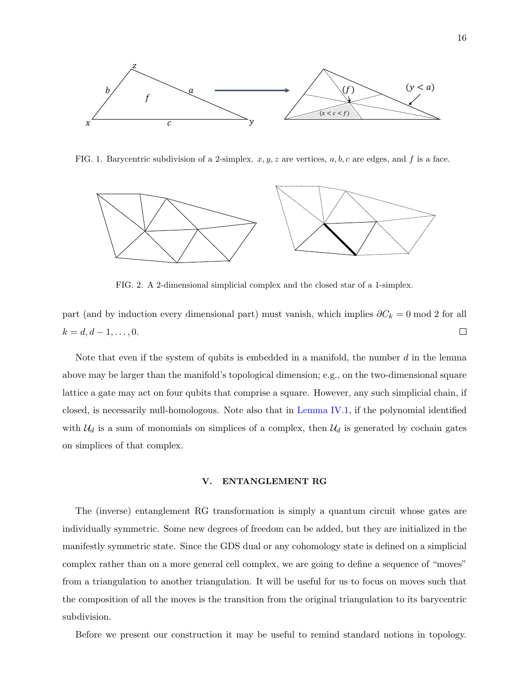

<span id="page-15-1"></span>FIG. 1. Barycentric subdivision of a 2-simplex.  $x, y, z$  are vertices,  $a, b, c$  are edges, and f is a face.



<span id="page-15-2"></span>FIG. 2. A 2-dimensional simplicial complex and the closed star of a 1-simplex.

part (and by induction every dimensional part) must vanish, which implies  $\partial C_k = 0 \text{ mod } 2$  for all  $k = d, d - 1, \ldots, 0.$  $\Box$ 

Note that even if the system of qubits is embedded in a manifold, the number  $d$  in the lemma above may be larger than the manifold's topological dimension; e.g., on the two-dimensional square lattice a gate may act on four qubits that comprise a square. However, any such simplicial chain, if closed, is necessarily null-homologous. Note also that in [Lemma IV.1,](#page-13-2) if the polynomial identified with  $\mathcal{U}_d$  is a sum of monomials on simplices of a complex, then  $\mathcal{U}_d$  is generated by cochain gates on simplices of that complex.

### <span id="page-15-0"></span>V. ENTANGLEMENT RG

The (inverse) entanglement RG transformation is simply a quantum circuit whose gates are individually symmetric. Some new degrees of freedom can be added, but they are initialized in the manifestly symmetric state. Since the GDS dual or any cohomology state is defined on a simplicial complex rather than on a more general cell complex, we are going to define a sequence of "moves" from a triangulation to another triangulation. It will be useful for us to focus on moves such that the composition of all the moves is the transition from the original triangulation to its barycentric subdivision.

Before we present our construction it may be useful to remind standard notions in topology.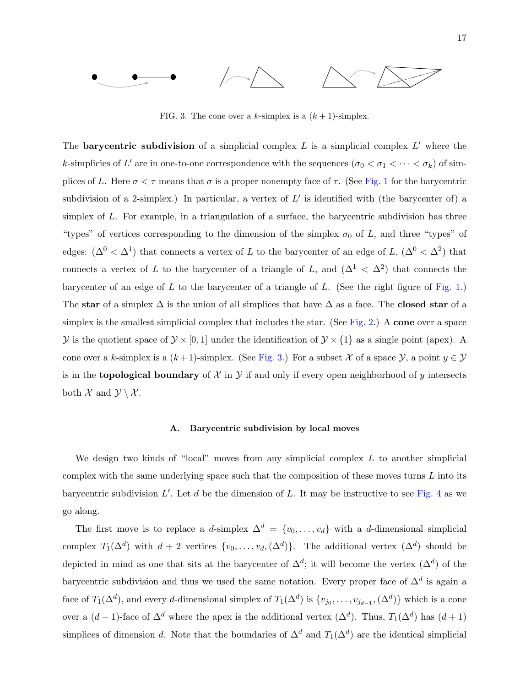

<span id="page-16-0"></span>FIG. 3. The cone over a k-simplex is a  $(k+1)$ -simplex.

The **barycentric subdivision** of a simplicial complex  $L$  is a simplicial complex  $L'$  where the k-simplicies of L' are in one-to-one correspondence with the sequences  $(\sigma_0 < \sigma_1 < \cdots < \sigma_k)$  of simplices of L. Here  $\sigma < \tau$  means that  $\sigma$  is a proper nonempty face of  $\tau$ . (See [Fig. 1](#page-15-1) for the barycentric subdivision of a 2-simplex.) In particular, a vertex of  $L'$  is identified with (the barycenter of) a simplex of  $L$ . For example, in a triangulation of a surface, the barycentric subdivision has three "types" of vertices corresponding to the dimension of the simplex  $\sigma_0$  of L, and three "types" of edges:  $(\Delta^0 < \Delta^1)$  that connects a vertex of L to the barycenter of an edge of L,  $(\Delta^0 < \Delta^2)$  that connects a vertex of L to the barycenter of a triangle of L, and  $(\Delta^1 \langle \Delta^2 \rangle)$  that connects the barycenter of an edge of  $L$  to the barycenter of a triangle of  $L$ . (See the right figure of [Fig. 1.](#page-15-1)) The star of a simplex  $\Delta$  is the union of all simplices that have  $\Delta$  as a face. The closed star of a simplex is the smallest simplicial complex that includes the star. (See [Fig. 2.](#page-15-2)) A cone over a space  $\mathcal Y$  is the quotient space of  $\mathcal Y \times [0,1]$  under the identification of  $\mathcal Y \times \{1\}$  as a single point (apex). A cone over a k-simplex is a  $(k+1)$ -simplex. (See [Fig. 3.](#page-16-0)) For a subset X of a space  $\mathcal{Y}$ , a point  $y \in \mathcal{Y}$ is in the **topological boundary** of  $\mathcal{X}$  in  $\mathcal{Y}$  if and only if every open neighborhood of y intersects both  $\mathcal X$  and  $\mathcal Y \setminus \mathcal X$ .

### A. Barycentric subdivision by local moves

We design two kinds of "local" moves from any simplicial complex  $L$  to another simplicial complex with the same underlying space such that the composition of these moves turns  $L$  into its barycentric subdivision  $L'$ . Let d be the dimension of L. It may be instructive to see [Fig. 4](#page-17-0) as we go along.

The first move is to replace a d-simplex  $\Delta^d = \{v_0, \ldots, v_d\}$  with a d-dimensional simplicial complex  $T_1(\Delta^d)$  with  $d+2$  vertices  $\{v_0,\ldots,v_d,(\Delta^d)\}\$ . The additional vertex  $(\Delta^d)$  should be depicted in mind as one that sits at the barycenter of  $\Delta^d$ ; it will become the vertex  $(\Delta^d)$  of the barycentric subdivision and thus we used the same notation. Every proper face of  $\Delta^d$  is again a face of  $T_1(\Delta^d)$ , and every d-dimensional simplex of  $T_1(\Delta^d)$  is  $\{v_{j_0}, \ldots, v_{j_{d-1}}, (\Delta^d)\}\$  which is a cone over a  $(d-1)$ -face of  $\Delta^d$  where the apex is the additional vertex  $(\Delta^d)$ . Thus,  $T_1(\Delta^d)$  has  $(d+1)$ simplices of dimension d. Note that the boundaries of  $\Delta^d$  and  $T_1(\Delta^d)$  are the identical simplicial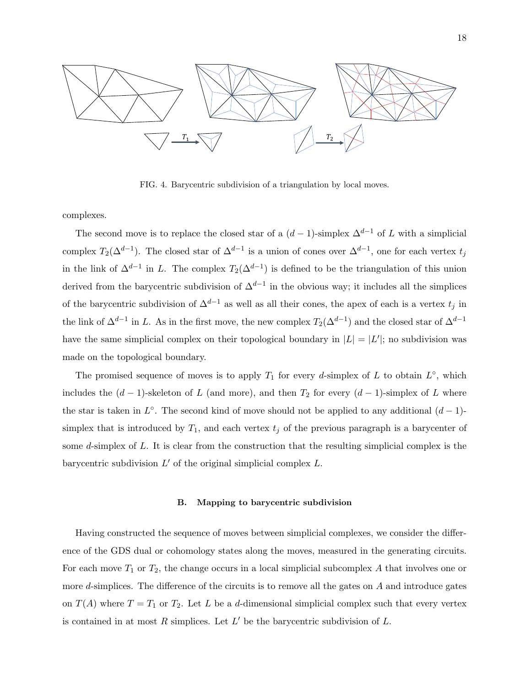

<span id="page-17-0"></span>FIG. 4. Barycentric subdivision of a triangulation by local moves.

complexes.

The second move is to replace the closed star of a  $(d-1)$ -simplex  $\Delta^{d-1}$  of L with a simplicial complex  $T_2(\Delta^{d-1})$ . The closed star of  $\Delta^{d-1}$  is a union of cones over  $\Delta^{d-1}$ , one for each vertex  $t_j$ in the link of  $\Delta^{d-1}$  in L. The complex  $T_2(\Delta^{d-1})$  is defined to be the triangulation of this union derived from the barycentric subdivision of  $\Delta^{d-1}$  in the obvious way; it includes all the simplices of the barycentric subdivision of  $\Delta^{d-1}$  as well as all their cones, the apex of each is a vertex  $t_i$  in the link of  $\Delta^{d-1}$  in L. As in the first move, the new complex  $T_2(\Delta^{d-1})$  and the closed star of  $\Delta^{d-1}$ have the same simplicial complex on their topological boundary in  $|L| = |L'|$ ; no subdivision was made on the topological boundary.

The promised sequence of moves is to apply  $T_1$  for every d-simplex of L to obtain  $L^{\circ}$ , which includes the  $(d-1)$ -skeleton of L (and more), and then  $T_2$  for every  $(d-1)$ -simplex of L where the star is taken in  $L^{\circ}$ . The second kind of move should not be applied to any additional  $(d-1)$ simplex that is introduced by  $T_1$ , and each vertex  $t_j$  of the previous paragraph is a barycenter of some d-simplex of L. It is clear from the construction that the resulting simplicial complex is the barycentric subdivision  $L'$  of the original simplicial complex  $L$ .

#### B. Mapping to barycentric subdivision

<span id="page-17-1"></span>Having constructed the sequence of moves between simplicial complexes, we consider the difference of the GDS dual or cohomology states along the moves, measured in the generating circuits. For each move  $T_1$  or  $T_2$ , the change occurs in a local simplicial subcomplex A that involves one or more d-simplices. The difference of the circuits is to remove all the gates on  $A$  and introduce gates on  $T(A)$  where  $T = T_1$  or  $T_2$ . Let L be a d-dimensional simplicial complex such that every vertex is contained in at most  $R$  simplices. Let  $L'$  be the barycentric subdivision of  $L$ .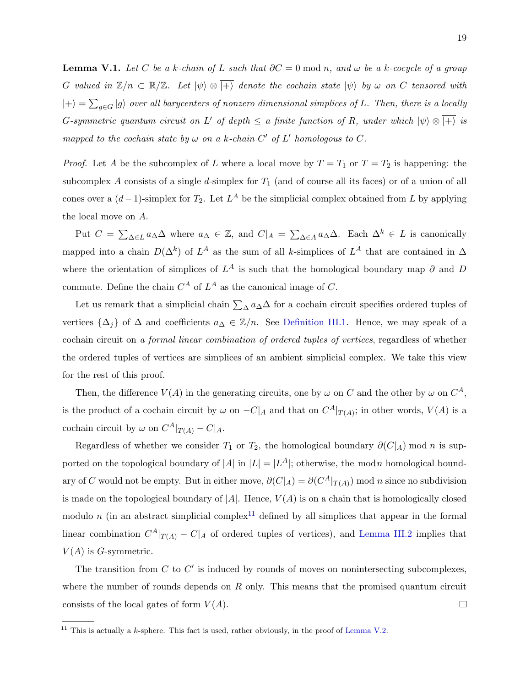**Lemma V.1.** Let C be a k-chain of L such that  $\partial C = 0$  mod n, and  $\omega$  be a k-cocycle of a group G valued in  $\mathbb{Z}/n \subset \mathbb{R}/\mathbb{Z}$ . Let  $|\psi\rangle \otimes |+\rangle$  denote the cochain state  $|\psi\rangle$  by  $\omega$  on C tensored with  $|+\rangle = \sum_{g\in G} |g\rangle$  over all barycenters of nonzero dimensional simplices of L. Then, there is a locally G-symmetric quantum circuit on L' of depth  $\leq$  a finite function of R, under which  $|\psi\rangle \otimes |+\rangle$  is mapped to the cochain state by  $\omega$  on a k-chain C' of L' homologous to C.

*Proof.* Let A be the subcomplex of L where a local move by  $T = T_1$  or  $T = T_2$  is happening: the subcomplex A consists of a single d-simplex for  $T_1$  (and of course all its faces) or of a union of all cones over a  $(d-1)$ -simplex for  $T_2$ . Let  $L^A$  be the simplicial complex obtained from L by applying the local move on A.

Put  $C = \sum_{\Delta \in L} a_{\Delta} \Delta$  where  $a_{\Delta} \in \mathbb{Z}$ , and  $C|_{A} = \sum_{\Delta \in A} a_{\Delta} \Delta$ . Each  $\Delta^{k} \in L$  is canonically mapped into a chain  $D(\Delta^k)$  of  $L^A$  as the sum of all k-simplices of  $L^A$  that are contained in  $\Delta$ where the orientation of simplices of  $L^A$  is such that the homological boundary map  $\partial$  and  $D$ commute. Define the chain  $C^A$  of  $L^A$  as the canonical image of C.

Let us remark that a simplicial chain  $\sum_{\Delta} a_{\Delta} \Delta$  for a cochain circuit specifies ordered tuples of vertices  $\{\Delta_j\}$  of  $\Delta$  and coefficients  $a_{\Delta} \in \mathbb{Z}/n$ . See [Definition III.1.](#page-11-2) Hence, we may speak of a cochain circuit on a formal linear combination of ordered tuples of vertices, regardless of whether the ordered tuples of vertices are simplices of an ambient simplicial complex. We take this view for the rest of this proof.

Then, the difference  $V(A)$  in the generating circuits, one by  $\omega$  on C and the other by  $\omega$  on  $C^A$ , is the product of a cochain circuit by  $\omega$  on  $-C|_A$  and that on  $C^A|_{T(A)}$ ; in other words,  $V(A)$  is a cochain circuit by  $\omega$  on  $C^A|_{T(A)} - C|_A$ .

Regardless of whether we consider  $T_1$  or  $T_2$ , the homological boundary  $\partial(C|_A)$  mod n is supported on the topological boundary of |A| in  $|L| = |L^A|$ ; otherwise, the modn homological boundary of C would not be empty. But in either move,  $\partial(C|_A) = \partial(C^A|_{T(A)})$  mod n since no subdivision is made on the topological boundary of  $|A|$ . Hence,  $V(A)$  is on a chain that is homologically closed modulo n (in an abstract simplicial complex<sup>[11](#page-18-0)</sup> defined by all simplices that appear in the formal linear combination  $C^A|_{T(A)} - C|_A$  of ordered tuples of vertices), and [Lemma III.2](#page-11-1) implies that  $V(A)$  is G-symmetric.

The transition from  $C$  to  $C'$  is induced by rounds of moves on nonintersecting subcomplexes, where the number of rounds depends on  $R$  only. This means that the promised quantum circuit  $\Box$ consists of the local gates of form  $V(A)$ .

<span id="page-18-1"></span><span id="page-18-0"></span><sup>&</sup>lt;sup>11</sup> This is actually a *k*-sphere. This fact is used, rather obviously, in the proof of [Lemma V.2.](#page-18-1)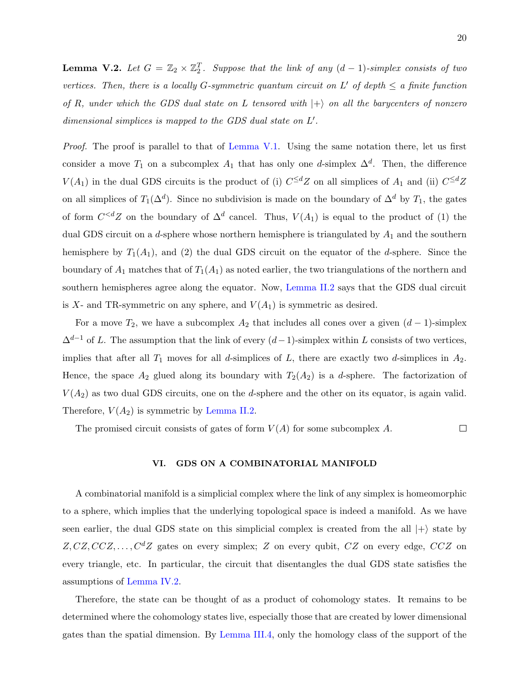**Lemma V.2.** Let  $G = \mathbb{Z}_2 \times \mathbb{Z}_2^T$ . Suppose that the link of any  $(d-1)$ -simplex consists of two vertices. Then, there is a locally G-symmetric quantum circuit on L' of depth  $\leq a$  finite function of R, under which the GDS dual state on L tensored with  $|+\rangle$  on all the barycenters of nonzero dimensional simplices is mapped to the GDS dual state on  $L'$ .

Proof. The proof is parallel to that of [Lemma V.1.](#page-17-1) Using the same notation there, let us first consider a move  $T_1$  on a subcomplex  $A_1$  that has only one d-simplex  $\Delta^d$ . Then, the difference  $V(A_1)$  in the dual GDS circuits is the product of (i)  $C^{\leq d}Z$  on all simplices of  $A_1$  and (ii)  $C^{\leq d}Z$ on all simplices of  $T_1(\Delta^d)$ . Since no subdivision is made on the boundary of  $\Delta^d$  by  $T_1$ , the gates of form  $C^{&d}Z$  on the boundary of  $\Delta^d$  cancel. Thus,  $V(A_1)$  is equal to the product of (1) the dual GDS circuit on a d-sphere whose northern hemisphere is triangulated by  $A_1$  and the southern hemisphere by  $T_1(A_1)$ , and (2) the dual GDS circuit on the equator of the d-sphere. Since the boundary of  $A_1$  matches that of  $T_1(A_1)$  as noted earlier, the two triangulations of the northern and southern hemispheres agree along the equator. Now, [Lemma II.2](#page-8-1) says that the GDS dual circuit is X- and TR-symmetric on any sphere, and  $V(A_1)$  is symmetric as desired.

For a move  $T_2$ , we have a subcomplex  $A_2$  that includes all cones over a given  $(d-1)$ -simplex  $\Delta^{d-1}$  of L. The assumption that the link of every  $(d-1)$ -simplex within L consists of two vertices, implies that after all  $T_1$  moves for all d-simplices of L, there are exactly two d-simplices in  $A_2$ . Hence, the space  $A_2$  glued along its boundary with  $T_2(A_2)$  is a d-sphere. The factorization of  $V(A_2)$  as two dual GDS circuits, one on the *d*-sphere and the other on its equator, is again valid. Therefore,  $V(A_2)$  is symmetric by [Lemma II.2.](#page-8-1)

The promised circuit consists of gates of form  $V(A)$  for some subcomplex A.  $\Box$ 

## <span id="page-19-0"></span>VI. GDS ON A COMBINATORIAL MANIFOLD

A combinatorial manifold is a simplicial complex where the link of any simplex is homeomorphic to a sphere, which implies that the underlying topological space is indeed a manifold. As we have seen earlier, the dual GDS state on this simplicial complex is created from the all  $|+\rangle$  state by  $Z, CZ, CCZ, \ldots, C^{d}Z$  gates on every simplex; Z on every qubit,  $CZ$  on every edge,  $CCZ$  on every triangle, etc. In particular, the circuit that disentangles the dual GDS state satisfies the assumptions of [Lemma IV.2.](#page-14-1)

Therefore, the state can be thought of as a product of cohomology states. It remains to be determined where the cohomology states live, especially those that are created by lower dimensional gates than the spatial dimension. By [Lemma III.4,](#page-12-0) only the homology class of the support of the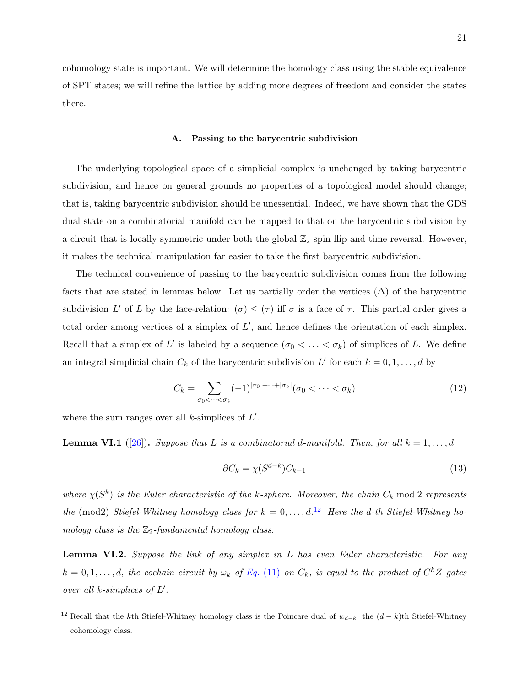cohomology state is important. We will determine the homology class using the stable equivalence of SPT states; we will refine the lattice by adding more degrees of freedom and consider the states there.

### A. Passing to the barycentric subdivision

The underlying topological space of a simplicial complex is unchanged by taking barycentric subdivision, and hence on general grounds no properties of a topological model should change; that is, taking barycentric subdivision should be unessential. Indeed, we have shown that the GDS dual state on a combinatorial manifold can be mapped to that on the barycentric subdivision by a circuit that is locally symmetric under both the global  $\mathbb{Z}_2$  spin flip and time reversal. However, it makes the technical manipulation far easier to take the first barycentric subdivision.

The technical convenience of passing to the barycentric subdivision comes from the following facts that are stated in lemmas below. Let us partially order the vertices  $(\Delta)$  of the barycentric subdivision L' of L by the face-relation:  $(\sigma) \leq (\tau)$  iff  $\sigma$  is a face of  $\tau$ . This partial order gives a total order among vertices of a simplex of  $L'$ , and hence defines the orientation of each simplex. Recall that a simplex of L' is labeled by a sequence  $(\sigma_0 < \ldots < \sigma_k)$  of simplices of L. We define an integral simplicial chain  $C_k$  of the barycentric subdivision  $L'$  for each  $k = 0, 1, \ldots, d$  by

$$
C_k = \sum_{\sigma_0 < \dots < \sigma_k} (-1)^{|\sigma_0| + \dots + |\sigma_k|} (\sigma_0 < \dots < \sigma_k) \tag{12}
$$

<span id="page-20-2"></span>where the sum ranges over all  $k$ -simplices of  $L'$ .

**Lemma VI.1** ([\[26\]](#page-27-2)). Suppose that L is a combinatorial d-manifold. Then, for all  $k = 1, ..., d$ 

$$
\partial C_k = \chi(S^{d-k})C_{k-1} \tag{13}
$$

where  $\chi(S^k)$  is the Euler characteristic of the k-sphere. Moreover, the chain  $C_k$  mod 2 represents the (mod2) Stiefel-Whitney homology class for  $k = 0, \ldots, d$ .<sup>[12](#page-20-0)</sup> Here the d-th Stiefel-Whitney homology class is the  $\mathbb{Z}_2$ -fundamental homology class.

<span id="page-20-1"></span>**Lemma VI.2.** Suppose the link of any simplex in  $L$  has even Euler characteristic. For any  $k = 0, 1, \ldots, d$ , the cochain circuit by  $\omega_k$  of Eq. [\(11\)](#page-13-3) on  $C_k$ , is equal to the product of  $C^k Z$  gates over all  $k$ -simplices of  $L'$ .

<span id="page-20-0"></span><sup>&</sup>lt;sup>12</sup> Recall that the kth Stiefel-Whitney homology class is the Poincare dual of  $w_{d-k}$ , the  $(d-k)$ th Stiefel-Whitney cohomology class.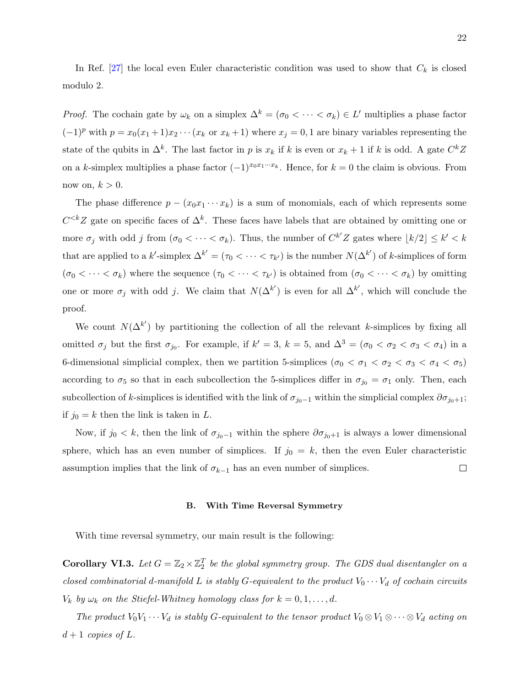In Ref.  $[27]$  the local even Euler characteristic condition was used to show that  $C_k$  is closed modulo 2.

*Proof.* The cochain gate by  $\omega_k$  on a simplex  $\Delta^k = (\sigma_0 < \cdots < \sigma_k) \in L'$  multiplies a phase factor  $(-1)^p$  with  $p = x_0(x_1 + 1)x_2 \cdots (x_k \text{ or } x_k + 1)$  where  $x_j = 0, 1$  are binary variables representing the state of the qubits in  $\Delta^k$ . The last factor in p is  $x_k$  if k is even or  $x_k + 1$  if k is odd. A gate  $C^k Z$ on a k-simplex multiplies a phase factor  $(-1)^{x_0x_1\cdots x_k}$ . Hence, for  $k = 0$  the claim is obvious. From now on,  $k > 0$ .

The phase difference  $p - (x_0x_1 \cdots x_k)$  is a sum of monomials, each of which represents some  $C^{&Z}$  gate on specific faces of  $\Delta^k$ . These faces have labels that are obtained by omitting one or more  $\sigma_j$  with odd j from  $(\sigma_0 < \cdots < \sigma_k)$ . Thus, the number of  $C^{k'}Z$  gates where  $\lfloor k/2 \rfloor \leq k' < k$ that are applied to a  $k'$ -simplex  $\Delta^{k'} = (\tau_0 \lt \cdots \lt \tau_{k'})$  is the number  $N(\Delta^{k'})$  of k-simplices of form  $(\sigma_0 < \cdots < \sigma_k)$  where the sequence  $(\tau_0 < \cdots < \tau_{k'})$  is obtained from  $(\sigma_0 < \cdots < \sigma_k)$  by omitting one or more  $\sigma_j$  with odd j. We claim that  $N(\Delta^{k'})$  is even for all  $\Delta^{k'}$ , which will conclude the proof.

We count  $N(\Delta^{k'})$  by partitioning the collection of all the relevant k-simplices by fixing all omitted  $\sigma_j$  but the first  $\sigma_{j_0}$ . For example, if  $k' = 3$ ,  $k = 5$ , and  $\Delta^3 = (\sigma_0 < \sigma_2 < \sigma_3 < \sigma_4)$  in a 6-dimensional simplicial complex, then we partition 5-simplices ( $\sigma_0 < \sigma_1 < \sigma_2 < \sigma_3 < \sigma_4 < \sigma_5$ ) according to  $\sigma_5$  so that in each subcollection the 5-simplices differ in  $\sigma_{j_0} = \sigma_1$  only. Then, each subcollection of k-simplices is identified with the link of  $\sigma_{j_0-1}$  within the simplicial complex  $\partial \sigma_{j_0+1}$ ; if  $j_0 = k$  then the link is taken in L.

Now, if  $j_0 < k$ , then the link of  $\sigma_{j_0-1}$  within the sphere  $\partial \sigma_{j_0+1}$  is always a lower dimensional sphere, which has an even number of simplices. If  $j_0 = k$ , then the even Euler characteristic assumption implies that the link of  $\sigma_{k-1}$  has an even number of simplices.  $\Box$ 

### B. With Time Reversal Symmetry

<span id="page-21-0"></span>With time reversal symmetry, our main result is the following:

**Corollary VI.3.** Let  $G = \mathbb{Z}_2 \times \mathbb{Z}_2^T$  be the global symmetry group. The GDS dual disentangler on a closed combinatorial d-manifold L is stably G-equivalent to the product  $V_0 \cdots V_d$  of cochain circuits  $V_k$  by  $\omega_k$  on the Stiefel-Whitney homology class for  $k = 0, 1, \ldots, d$ .

The product  $V_0V_1 \cdots V_d$  is stably G-equivalent to the tensor product  $V_0 \otimes V_1 \otimes \cdots \otimes V_d$  acting on  $d+1$  copies of L.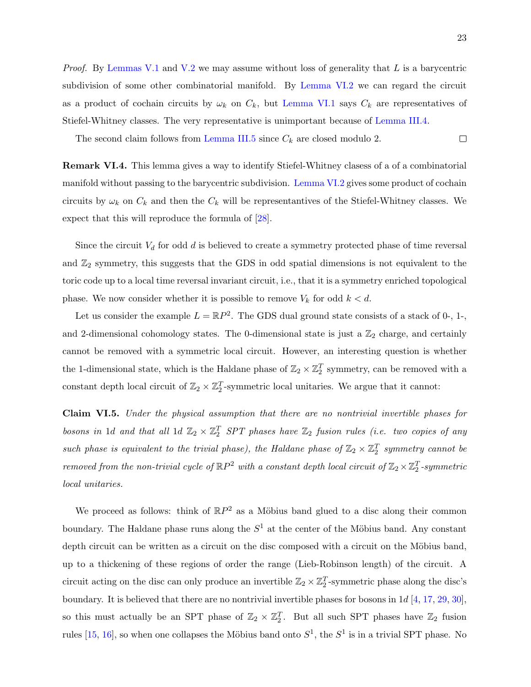*Proof.* By [Lemmas V.1](#page-17-1) and [V.2](#page-18-1) we may assume without loss of generality that L is a barycentric subdivision of some other combinatorial manifold. By [Lemma VI.2](#page-20-1) we can regard the circuit as a product of cochain circuits by  $\omega_k$  on  $C_k$ , but [Lemma VI.1](#page-20-2) says  $C_k$  are representatives of Stiefel-Whitney classes. The very representative is unimportant because of [Lemma III.4.](#page-12-0)

The second claim follows from [Lemma III.5](#page-12-1) since  $C_k$  are closed modulo 2.  $\Box$ 

Remark VI.4. This lemma gives a way to identify Stiefel-Whitney clasess of a of a combinatorial manifold without passing to the barycentric subdivision. [Lemma VI.2](#page-20-1) gives some product of cochain circuits by  $\omega_k$  on  $C_k$  and then the  $C_k$  will be representantives of the Stiefel-Whitney classes. We expect that this will reproduce the formula of [\[28\]](#page-27-4).

Since the circuit  $V_d$  for odd  $d$  is believed to create a symmetry protected phase of time reversal and  $\mathbb{Z}_2$  symmetry, this suggests that the GDS in odd spatial dimensions is not equivalent to the toric code up to a local time reversal invariant circuit, i.e., that it is a symmetry enriched topological phase. We now consider whether it is possible to remove  $V_k$  for odd  $k < d$ .

Let us consider the example  $L = \mathbb{R}P^2$ . The GDS dual ground state consists of a stack of 0-, 1-, and 2-dimensional cohomology states. The 0-dimensional state is just a  $\mathbb{Z}_2$  charge, and certainly cannot be removed with a symmetric local circuit. However, an interesting question is whether the 1-dimensional state, which is the Haldane phase of  $\mathbb{Z}_2 \times \mathbb{Z}_2^T$  symmetry, can be removed with a constant depth local circuit of  $\mathbb{Z}_2 \times \mathbb{Z}_2^T$ -symmetric local unitaries. We argue that it cannot:

<span id="page-22-0"></span>Claim VI.5. Under the physical assumption that there are no nontrivial invertible phases for bosons in 1d and that all 1d  $\mathbb{Z}_2 \times \mathbb{Z}_2^T$  SPT phases have  $\mathbb{Z}_2$  fusion rules (i.e. two copies of any such phase is equivalent to the trivial phase), the Haldane phase of  $\mathbb{Z}_2 \times \mathbb{Z}_2^T$  symmetry cannot be removed from the non-trivial cycle of  $\mathbb{R}P^2$  with a constant depth local circuit of  $\mathbb{Z}_2\times \mathbb{Z}_2^T$ -symmetric local unitaries.

We proceed as follows: think of  $\mathbb{R}P^2$  as a Möbius band glued to a disc along their common boundary. The Haldane phase runs along the  $S<sup>1</sup>$  at the center of the Möbius band. Any constant depth circuit can be written as a circuit on the disc composed with a circuit on the Möbius band, up to a thickening of these regions of order the range (Lieb-Robinson length) of the circuit. A circuit acting on the disc can only produce an invertible  $\mathbb{Z}_2 \times \mathbb{Z}_2^T$ -symmetric phase along the disc's boundary. It is believed that there are no nontrivial invertible phases for bosons in  $1d$  [\[4,](#page-25-2) [17,](#page-26-16) [29,](#page-27-5) [30\]](#page-27-6), so this must actually be an SPT phase of  $\mathbb{Z}_2 \times \mathbb{Z}_2^T$ . But all such SPT phases have  $\mathbb{Z}_2$  fusion rules [\[15,](#page-26-9) [16\]](#page-26-11), so when one collapses the Möbius band onto  $S^1$ , the  $S^1$  is in a trivial SPT phase. No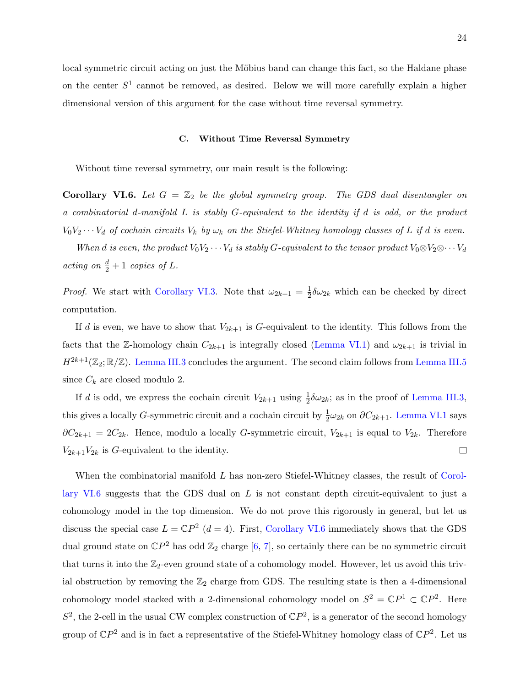local symmetric circuit acting on just the Möbius band can change this fact, so the Haldane phase on the center  $S^1$  cannot be removed, as desired. Below we will more carefully explain a higher dimensional version of this argument for the case without time reversal symmetry.

#### C. Without Time Reversal Symmetry

<span id="page-23-0"></span>Without time reversal symmetry, our main result is the following:

**Corollary VI.6.** Let  $G = \mathbb{Z}_2$  be the global symmetry group. The GDS dual disentangler on a combinatorial d-manifold L is stably G-equivalent to the identity if d is odd, or the product  $V_0V_2\cdots V_d$  of cochain circuits  $V_k$  by  $\omega_k$  on the Stiefel-Whitney homology classes of L if d is even.

When d is even, the product  $V_0V_2 \cdots V_d$  is stably G-equivalent to the tensor product  $V_0 \otimes V_2 \otimes \cdots V_d$ acting on  $\frac{d}{2}+1$  copies of L.

*Proof.* We start with [Corollary VI.3.](#page-21-0) Note that  $\omega_{2k+1} = \frac{1}{2}$  $\frac{1}{2}\delta\omega_{2k}$  which can be checked by direct computation.

If d is even, we have to show that  $V_{2k+1}$  is G-equivalent to the identity. This follows from the facts that the Z-homology chain  $C_{2k+1}$  is integrally closed [\(Lemma VI.1\)](#page-20-2) and  $\omega_{2k+1}$  is trivial in  $H^{2k+1}(\mathbb{Z}_2;\mathbb{R}/\mathbb{Z})$ . [Lemma III.3](#page-12-2) concludes the argument. The second claim follows from [Lemma III.5](#page-12-1) since  $C_k$  are closed modulo 2.

If d is odd, we express the cochain circuit  $V_{2k+1}$  using  $\frac{1}{2}\delta\omega_{2k}$ ; as in the proof of [Lemma III.3,](#page-12-2) this gives a locally *G*-symmetric circuit and a cochain circuit by  $\frac{1}{2}\omega_{2k}$  on  $\partial C_{2k+1}$ . [Lemma VI.1](#page-20-2) says  $\partial C_{2k+1} = 2C_{2k}$ . Hence, modulo a locally G-symmetric circuit,  $V_{2k+1}$  is equal to  $V_{2k}$ . Therefore  $V_{2k+1}V_{2k}$  is G-equivalent to the identity.  $\Box$ 

When the combinatorial manifold L has non-zero Stiefel-Whitney classes, the result of [Corol](#page-23-0)[lary VI.6](#page-23-0) suggests that the GDS dual on  $L$  is not constant depth circuit-equivalent to just a cohomology model in the top dimension. We do not prove this rigorously in general, but let us discuss the special case  $L = \mathbb{C}P^2$  ( $d = 4$ ). First, [Corollary VI.6](#page-23-0) immediately shows that the GDS dual ground state on  $\mathbb{C}P^2$  has odd  $\mathbb{Z}_2$  charge [\[6,](#page-26-1) [7\]](#page-26-2), so certainly there can be no symmetric circuit that turns it into the  $\mathbb{Z}_2$ -even ground state of a cohomology model. However, let us avoid this trivial obstruction by removing the  $\mathbb{Z}_2$  charge from GDS. The resulting state is then a 4-dimensional cohomology model stacked with a 2-dimensional cohomology model on  $S^2 = \mathbb{C}P^1 \subset \mathbb{C}P^2$ . Here  $S^2$ , the 2-cell in the usual CW complex construction of  $\mathbb{C}P^2$ , is a generator of the second homology group of  $\mathbb{C}P^2$  and is in fact a representative of the Stiefel-Whitney homology class of  $\mathbb{C}P^2$ . Let us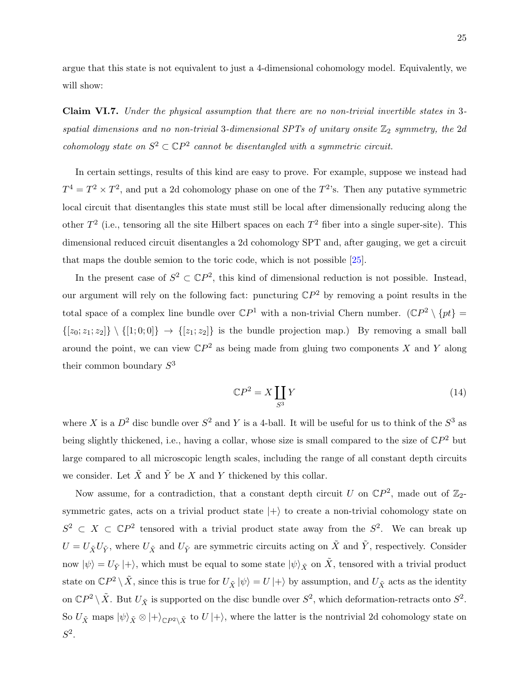argue that this state is not equivalent to just a 4-dimensional cohomology model. Equivalently, we will show:

<span id="page-24-0"></span>Claim VI.7. Under the physical assumption that there are no non-trivial invertible states in 3 spatial dimensions and no non-trivial 3-dimensional SPTs of unitary onsite  $\mathbb{Z}_2$  symmetry, the 2d cohomology state on  $S^2 \subset \mathbb{C}P^2$  cannot be disentangled with a symmetric circuit.

In certain settings, results of this kind are easy to prove. For example, suppose we instead had  $T^4 = T^2 \times T^2$ , and put a 2d cohomology phase on one of the  $T^2$ 's. Then any putative symmetric local circuit that disentangles this state must still be local after dimensionally reducing along the other  $T^2$  (i.e., tensoring all the site Hilbert spaces on each  $T^2$  fiber into a single super-site). This dimensional reduced circuit disentangles a 2d cohomology SPT and, after gauging, we get a circuit that maps the double semion to the toric code, which is not possible [\[25\]](#page-27-1).

In the present case of  $S^2 \subset \mathbb{C}P^2$ , this kind of dimensional reduction is not possible. Instead, our argument will rely on the following fact: puncturing  $\mathbb{C}P^2$  by removing a point results in the total space of a complex line bundle over  $\mathbb{C}P^1$  with a non-trivial Chern number.  $(\mathbb{C}P^2 \setminus \{pt\})$  $\{[z_0; z_1; z_2]\}\ \setminus \{[1; 0; 0]\} \rightarrow \{[z_1; z_2]\}$  is the bundle projection map.) By removing a small ball around the point, we can view  $\mathbb{C}P^2$  as being made from gluing two components X and Y along their common boundary  $S^3$ 

$$
\mathbb{C}P^2 = X \coprod_{S^3} Y \tag{14}
$$

where X is a  $D^2$  disc bundle over  $S^2$  and Y is a 4-ball. It will be useful for us to think of the  $S^3$  as being slightly thickened, i.e., having a collar, whose size is small compared to the size of  $\mathbb{C}P^2$  but large compared to all microscopic length scales, including the range of all constant depth circuits we consider. Let  $\tilde{X}$  and  $\tilde{Y}$  be X and Y thickened by this collar.

Now assume, for a contradiction, that a constant depth circuit U on  $\mathbb{C}P^2$ , made out of  $\mathbb{Z}_2$ symmetric gates, acts on a trivial product state  $|+\rangle$  to create a non-trivial cohomology state on  $S^2 \subset X \subset \mathbb{C}P^2$  tensored with a trivial product state away from the  $S^2$ . We can break up  $U = U_{\tilde{X}} U_{\tilde{Y}}$ , where  $U_{\tilde{X}}$  and  $U_{\tilde{Y}}$  are symmetric circuits acting on  $\tilde{X}$  and  $\tilde{Y}$ , respectively. Consider now  $|\psi\rangle = U_{\tilde{Y}} |+\rangle$ , which must be equal to some state  $|\psi\rangle_{\tilde{X}}$  on  $\tilde{X}$ , tensored with a trivial product state on  $\mathbb{C}P^2 \setminus \tilde{X}$ , since this is true for  $U_{\tilde{X}} |\psi\rangle = U |+\rangle$  by assumption, and  $U_{\tilde{X}}$  acts as the identity on  $\mathbb{C}P^2 \setminus \tilde{X}$ . But  $U_{\tilde{X}}$  is supported on the disc bundle over  $S^2$ , which deformation-retracts onto  $S^2$ . So  $U_{\tilde{X}}$  maps  $|\psi\rangle_{\tilde{X}} \otimes |+\rangle_{\mathbb{C}P^2\setminus\tilde{X}}$  to  $U |+\rangle$ , where the latter is the nontrivial 2d cohomology state on  $S^2$ .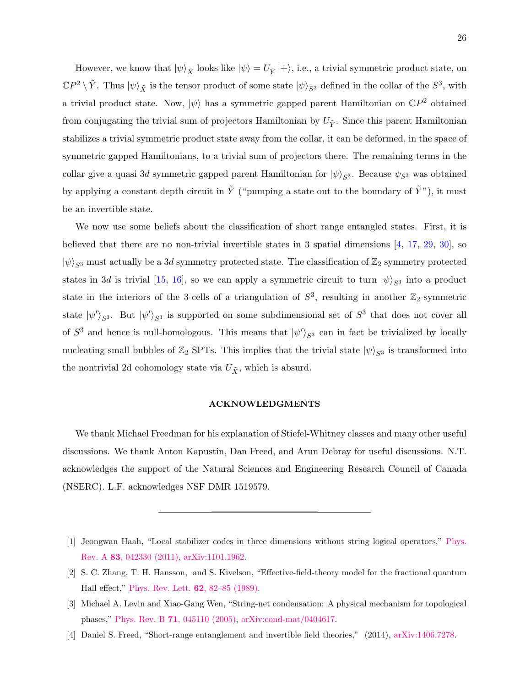However, we know that  $|\psi\rangle_{\tilde{X}}$  looks like  $|\psi\rangle = U_{\tilde{Y}} |+\rangle$ , i.e., a trivial symmetric product state, on  $\mathbb{C}P^2 \setminus \tilde{Y}$ . Thus  $|\psi\rangle_{\tilde{X}}$  is the tensor product of some state  $|\psi\rangle_{S^3}$  defined in the collar of the  $S^3$ , with a trivial product state. Now,  $|\psi\rangle$  has a symmetric gapped parent Hamiltonian on  $\mathbb{C}P^2$  obtained from conjugating the trivial sum of projectors Hamiltonian by  $U_{\tilde{Y}}$ . Since this parent Hamiltonian stabilizes a trivial symmetric product state away from the collar, it can be deformed, in the space of symmetric gapped Hamiltonians, to a trivial sum of projectors there. The remaining terms in the collar give a quasi 3d symmetric gapped parent Hamiltonian for  $|\psi\rangle_{S^3}$ . Because  $\psi_{S^3}$  was obtained by applying a constant depth circuit in  $\tilde{Y}$  ("pumping a state out to the boundary of  $\tilde{Y}$ "), it must be an invertible state.

We now use some beliefs about the classification of short range entangled states. First, it is believed that there are no non-trivial invertible states in 3 spatial dimensions [\[4,](#page-25-2) [17,](#page-26-16) [29,](#page-27-5) [30\]](#page-27-6), so  $|\psi\rangle_{S^3}$  must actually be a 3d symmetry protected state. The classification of  $\mathbb{Z}_2$  symmetry protected states in 3d is trivial [\[15,](#page-26-9) [16\]](#page-26-11), so we can apply a symmetric circuit to turn  $|\psi\rangle_{S^3}$  into a product state in the interiors of the 3-cells of a triangulation of  $S^3$ , resulting in another  $\mathbb{Z}_2$ -symmetric state  $|\psi'\rangle_{S^3}$ . But  $|\psi'\rangle_{S^3}$  is supported on some subdimensional set of  $S^3$  that does not cover all of  $S^3$  and hence is null-homologous. This means that  $|\psi'\rangle_{S^3}$  can in fact be trivialized by locally nucleating small bubbles of  $\mathbb{Z}_2$  SPTs. This implies that the trivial state  $|\psi\rangle_{S^3}$  is transformed into the nontrivial 2d cohomology state via  $U_{\tilde{X}}$ , which is absurd.

# ACKNOWLEDGMENTS

We thank Michael Freedman for his explanation of Stiefel-Whitney classes and many other useful discussions. We thank Anton Kapustin, Dan Freed, and Arun Debray for useful discussions. N.T. acknowledges the support of the Natural Sciences and Engineering Research Council of Canada (NSERC). L.F. acknowledges NSF DMR 1519579.

<span id="page-25-0"></span><sup>[1]</sup> Jeongwan Haah, "Local stabilizer codes in three dimensions without string logical operators," [Phys.](http://dx.doi.org/10.1103/PhysRevA.83.042330) Rev. A 83[, 042330 \(2011\),](http://dx.doi.org/10.1103/PhysRevA.83.042330) [arXiv:1101.1962.](http://arxiv.org/abs/1101.1962)

<span id="page-25-1"></span><sup>[2]</sup> S. C. Zhang, T. H. Hansson, and S. Kivelson, "Effective-field-theory model for the fractional quantum Hall effect," [Phys. Rev. Lett.](http://dx.doi.org/ 10.1103/PhysRevLett.62.82) 62, 82–85 (1989).

<sup>[3]</sup> Michael A. Levin and Xiao-Gang Wen, "String-net condensation: A physical mechanism for topological phases," Phys. Rev. B 71[, 045110 \(2005\),](http://dx.doi.org/10.1103/PhysRevB.71.045110) [arXiv:cond-mat/0404617.](http://arxiv.org/abs/cond-mat/0404617)

<span id="page-25-2"></span><sup>[4]</sup> Daniel S. Freed, "Short-range entanglement and invertible field theories," (2014), [arXiv:1406.7278.](http://arxiv.org/abs/1406.7278)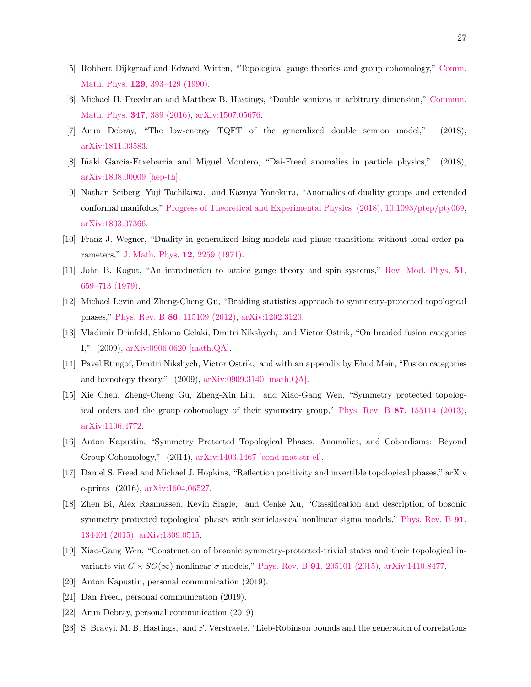- <span id="page-26-0"></span>[5] Robbert Dijkgraaf and Edward Witten, "Topological gauge theories and group cohomology," [Comm.](http://dx.doi.org/10.1007/BF02096988) Math. Phys. 129[, 393–429 \(1990\).](http://dx.doi.org/10.1007/BF02096988)
- <span id="page-26-1"></span>[6] Michael H. Freedman and Matthew B. Hastings, "Double semions in arbitrary dimension," [Commun.](http://dx.doi.org/ 10.1007/s00220-016-2604-0) [Math. Phys.](http://dx.doi.org/ 10.1007/s00220-016-2604-0) 347, 389 (2016), [arXiv:1507.05676.](http://arxiv.org/abs/1507.05676)
- <span id="page-26-2"></span>[7] Arun Debray, "The low-energy TQFT of the generalized double semion model," (2018), [arXiv:1811.03583.](http://arxiv.org/abs/1811.03583)
- <span id="page-26-3"></span>[8] Iñaki García-Etxebarria and Miguel Montero, "Dai-Freed anomalies in particle physics," (2018), [arXiv:1808.00009 \[hep-th\].](http://arxiv.org/abs/1808.00009)
- <span id="page-26-4"></span>[9] Nathan Seiberg, Yuji Tachikawa, and Kazuya Yonekura, "Anomalies of duality groups and extended conformal manifolds," [Progress of Theoretical and Experimental Physics \(2018\), 10.1093/ptep/pty069,](http://dx.doi.org/ 10.1093/ptep/pty069) [arXiv:1803.07366.](http://arxiv.org/abs/1803.07366)
- <span id="page-26-5"></span>[10] Franz J. Wegner, "Duality in generalized Ising models and phase transitions without local order parameters," [J. Math. Phys.](http://dx.doi.org/10.1063/1.1665530) 12, 2259 (1971).
- [11] John B. Kogut, "An introduction to lattice gauge theory and spin systems," [Rev. Mod. Phys.](http://dx.doi.org/ 10.1103/RevModPhys.51.659) 51, [659–713 \(1979\).](http://dx.doi.org/ 10.1103/RevModPhys.51.659)
- <span id="page-26-6"></span>[12] Michael Levin and Zheng-Cheng Gu, "Braiding statistics approach to symmetry-protected topological phases," Phys. Rev. B 86[, 115109 \(2012\),](http://dx.doi.org/ 10.1103/PhysRevB.86.115109) [arXiv:1202.3120.](http://arxiv.org/abs/1202.3120)
- <span id="page-26-7"></span>[13] Vladimir Drinfeld, Shlomo Gelaki, Dmitri Nikshych, and Victor Ostrik, "On braided fusion categories I," (2009), [arXiv:0906.0620 \[math.QA\].](http://arxiv.org/abs/0906.0620)
- <span id="page-26-8"></span>[14] Pavel Etingof, Dmitri Nikshych, Victor Ostrik, and with an appendix by Ehud Meir, "Fusion categories and homotopy theory," (2009), [arXiv:0909.3140 \[math.QA\].](http://arxiv.org/abs/0909.3140)
- <span id="page-26-9"></span>[15] Xie Chen, Zheng-Cheng Gu, Zheng-Xin Liu, and Xiao-Gang Wen, "Symmetry protected topological orders and the group cohomology of their symmetry group," Phys. Rev. B 87[, 155114 \(2013\),](http://dx.doi.org/10.1103/PhysRevB.87.155114) [arXiv:1106.4772.](http://arxiv.org/abs/1106.4772)
- <span id="page-26-11"></span>[16] Anton Kapustin, "Symmetry Protected Topological Phases, Anomalies, and Cobordisms: Beyond Group Cohomology," (2014), [arXiv:1403.1467 \[cond-mat.str-el\].](http://arxiv.org/abs/1403.1467)
- <span id="page-26-16"></span>[17] Daniel S. Freed and Michael J. Hopkins, "Reflection positivity and invertible topological phases," arXiv e-prints (2016), [arXiv:1604.06527.](http://arxiv.org/abs/1604.06527)
- <span id="page-26-10"></span>[18] Zhen Bi, Alex Rasmussen, Kevin Slagle, and Cenke Xu, "Classification and description of bosonic symmetry protected topological phases with semiclassical nonlinear sigma models," [Phys. Rev. B](http://dx.doi.org/10.1103/PhysRevB.91.134404) 91, [134404 \(2015\),](http://dx.doi.org/10.1103/PhysRevB.91.134404) [arXiv:1309.0515.](http://arxiv.org/abs/1309.0515)
- <span id="page-26-12"></span>[19] Xiao-Gang Wen, "Construction of bosonic symmetry-protected-trivial states and their topological invariants via  $G \times SO(\infty)$  nonlinear  $\sigma$  models," Phys. Rev. B 91[, 205101 \(2015\),](http://dx.doi.org/10.1103/PhysRevB.91.205101) [arXiv:1410.8477.](http://arxiv.org/abs/1410.8477)
- <span id="page-26-13"></span>[20] Anton Kapustin, personal communication (2019).
- <span id="page-26-14"></span>[21] Dan Freed, personal communication (2019).
- <span id="page-26-15"></span>[22] Arun Debray, personal communication (2019).
- [23] S. Bravyi, M. B. Hastings, and F. Verstraete, "Lieb-Robinson bounds and the generation of correlations